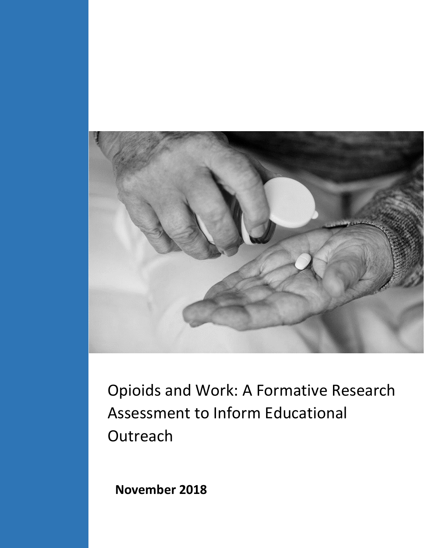

Opioids and Work: A Formative Research Assessment to Inform Educational **Outreach** 

**November 2018**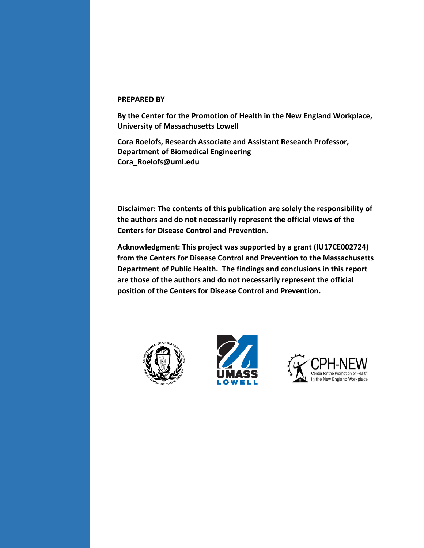#### **PREPARED BY**

**By the Center for the Promotion of Health in the New England Workplace, University of Massachusetts Lowell**

**Cora Roelofs, Research Associate and Assistant Research Professor, Department of Biomedical Engineering [Cora\\_Roelofs@uml.edu](mailto:Cora_Roelofs@uml.edu)**

**Disclaimer: The contents of this publication are solely the responsibility of the authors and do not necessarily represent the official views of the Centers for Disease Control and Prevention.**

**Acknowledgment: This project was supported by a grant (IU17CE002724) from the Centers for Disease Control and Prevention to the Massachusetts Department of Public Health. The findings and conclusions in this report are those of the authors and do not necessarily represent the official position of the Centers for Disease Control and Prevention.**





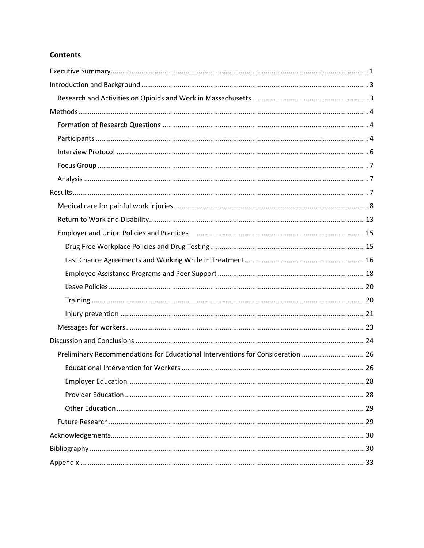## **Contents**

| Preliminary Recommendations for Educational Interventions for Consideration 26 |  |
|--------------------------------------------------------------------------------|--|
|                                                                                |  |
|                                                                                |  |
|                                                                                |  |
|                                                                                |  |
|                                                                                |  |
|                                                                                |  |
|                                                                                |  |
|                                                                                |  |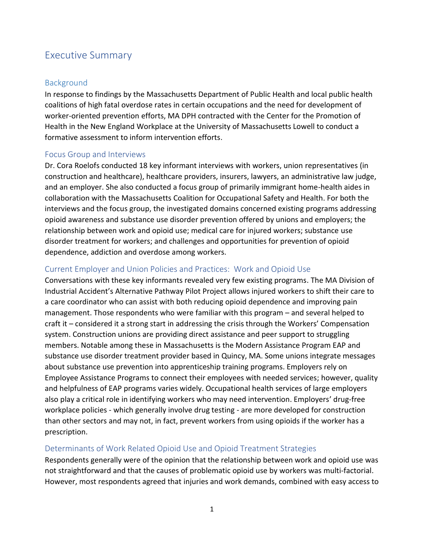## <span id="page-3-0"></span>Executive Summary

## **Background**

In response to findings by the Massachusetts Department of Public Health and local public health coalitions of high fatal overdose rates in certain occupations and the need for development of worker-oriented prevention efforts, MA DPH contracted with the Center for the Promotion of Health in the New England Workplace at the University of Massachusetts Lowell to conduct a formative assessment to inform intervention efforts.

## Focus Group and Interviews

Dr. Cora Roelofs conducted 18 key informant interviews with workers, union representatives (in construction and healthcare), healthcare providers, insurers, lawyers, an administrative law judge, and an employer. She also conducted a focus group of primarily immigrant home-health aides in collaboration with the Massachusetts Coalition for Occupational Safety and Health. For both the interviews and the focus group, the investigated domains concerned existing programs addressing opioid awareness and substance use disorder prevention offered by unions and employers; the relationship between work and opioid use; medical care for injured workers; substance use disorder treatment for workers; and challenges and opportunities for prevention of opioid dependence, addiction and overdose among workers.

## Current Employer and Union Policies and Practices: Work and Opioid Use

Conversations with these key informants revealed very few existing programs. The MA Division of Industrial Accident's Alternative Pathway Pilot Project allows injured workers to shift their care to a care coordinator who can assist with both reducing opioid dependence and improving pain management. Those respondents who were familiar with this program – and several helped to craft it – considered it a strong start in addressing the crisis through the Workers' Compensation system. Construction unions are providing direct assistance and peer support to struggling members. Notable among these in Massachusetts is the Modern Assistance Program EAP and substance use disorder treatment provider based in Quincy, MA. Some unions integrate messages about substance use prevention into apprenticeship training programs. Employers rely on Employee Assistance Programs to connect their employees with needed services; however, quality and helpfulness of EAP programs varies widely. Occupational health services of large employers also play a critical role in identifying workers who may need intervention. Employers' drug-free workplace policies - which generally involve drug testing - are more developed for construction than other sectors and may not, in fact, prevent workers from using opioids if the worker has a prescription.

## Determinants of Work Related Opioid Use and Opioid Treatment Strategies

Respondents generally were of the opinion that the relationship between work and opioid use was not straightforward and that the causes of problematic opioid use by workers was multi-factorial. However, most respondents agreed that injuries and work demands, combined with easy access to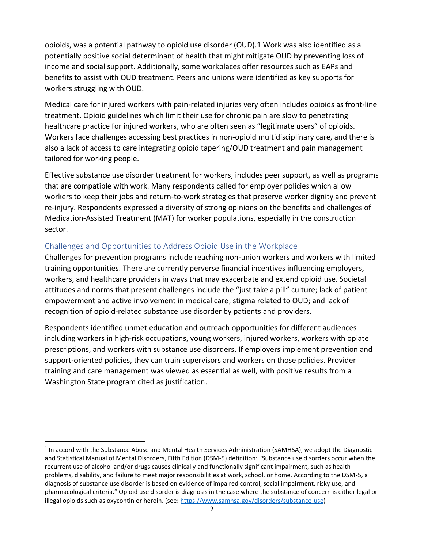opioids, was a potential pathway to opioid use disorder (OUD).1 Work was also identified as a potentially positive social determinant of health that might mitigate OUD by preventing loss of income and social support. Additionally, some workplaces offer resources such as EAPs and benefits to assist with OUD treatment. Peers and unions were identified as key supports for workers struggling with OUD.

Medical care for injured workers with pain-related injuries very often includes opioids as front-line treatment. Opioid guidelines which limit their use for chronic pain are slow to penetrating healthcare practice for injured workers, who are often seen as "legitimate users" of opioids. Workers face challenges accessing best practices in non-opioid multidisciplinary care, and there is also a lack of access to care integrating opioid tapering/OUD treatment and pain management tailored for working people.

Effective substance use disorder treatment for workers, includes peer support, as well as programs that are compatible with work. Many respondents called for employer policies which allow workers to keep their jobs and return-to-work strategies that preserve worker dignity and prevent re-injury. Respondents expressed a diversity of strong opinions on the benefits and challenges of Medication-Assisted Treatment (MAT) for worker populations, especially in the construction sector.

## Challenges and Opportunities to Address Opioid Use in the Workplace

 $\overline{a}$ 

Challenges for prevention programs include reaching non-union workers and workers with limited training opportunities. There are currently perverse financial incentives influencing employers, workers, and healthcare providers in ways that may exacerbate and extend opioid use. Societal attitudes and norms that present challenges include the "just take a pill" culture; lack of patient empowerment and active involvement in medical care; stigma related to OUD; and lack of recognition of opioid-related substance use disorder by patients and providers.

Respondents identified unmet education and outreach opportunities for different audiences including workers in high-risk occupations, young workers, injured workers, workers with opiate prescriptions, and workers with substance use disorders. If employers implement prevention and support-oriented policies, they can train supervisors and workers on those policies. Provider training and care management was viewed as essential as well, with positive results from a Washington State program cited as justification.

<sup>&</sup>lt;sup>1</sup> In accord with the Substance Abuse and Mental Health Services Administration (SAMHSA), we adopt the Diagnostic and Statistical Manual of Mental Disorders, Fifth Edition (DSM-5) definition: "Substance use disorders occur when the recurrent use of alcohol and/or drugs causes clinically and functionally significant impairment, such as health problems, disability, and failure to meet major responsibilities at work, school, or home. According to the DSM-5, a diagnosis of substance use disorder is based on evidence of impaired control, social impairment, risky use, and pharmacological criteria." Opioid use disorder is diagnosis in the case where the substance of concern is either legal or illegal opioids such as oxycontin or heroin. (see[: https://www.samhsa.gov/disorders/substance-use](https://www.samhsa.gov/disorders/substance-use))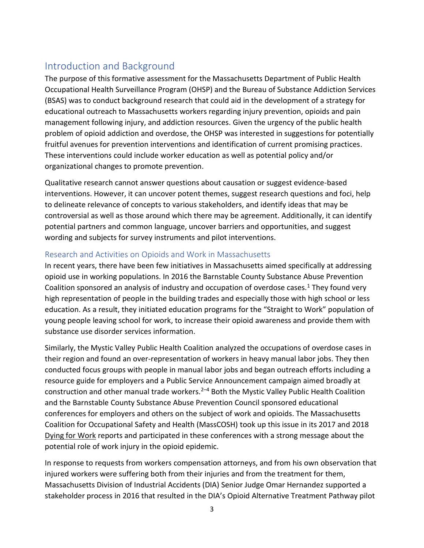# <span id="page-5-0"></span>Introduction and Background

The purpose of this formative assessment for the Massachusetts Department of Public Health Occupational Health Surveillance Program (OHSP) and the Bureau of Substance Addiction Services (BSAS) was to conduct background research that could aid in the development of a strategy for educational outreach to Massachusetts workers regarding injury prevention, opioids and pain management following injury, and addiction resources. Given the urgency of the public health problem of opioid addiction and overdose, the OHSP was interested in suggestions for potentially fruitful avenues for prevention interventions and identification of current promising practices. These interventions could include worker education as well as potential policy and/or organizational changes to promote prevention.

Qualitative research cannot answer questions about causation or suggest evidence-based interventions. However, it can uncover potent themes, suggest research questions and foci, help to delineate relevance of concepts to various stakeholders, and identify ideas that may be controversial as well as those around which there may be agreement. Additionally, it can identify potential partners and common language, uncover barriers and opportunities, and suggest wording and subjects for survey instruments and pilot interventions.

## Research and Activities on Opioids and Work in Massachusetts

In recent years, there have been few initiatives in Massachusetts aimed specifically at addressing opioid use in working populations. In 2016 the Barnstable County Substance Abuse Prevention Coalition sponsored an analysis of industry and occupation of overdose cases.<sup>1</sup> They found very high representation of people in the building trades and especially those with high school or less education. As a result, they initiated education programs for the "Straight to Work" population of young people leaving school for work, to increase their opioid awareness and provide them with substance use disorder services information.

Similarly, the Mystic Valley Public Health Coalition analyzed the occupations of overdose cases in their region and found an over-representation of workers in heavy manual labor jobs. They then conducted focus groups with people in manual labor jobs and began outreach efforts including a resource guide for employers and a Public Service Announcement campaign aimed broadly at construction and other manual trade workers. $2-4$  Both the Mystic Valley Public Health Coalition and the Barnstable County Substance Abuse Prevention Council sponsored educational conferences for employers and others on the subject of work and opioids. The Massachusetts Coalition for Occupational Safety and Health (MassCOSH) took up this issue in its 2017 and 2018 Dying for Work reports and participated in these conferences with a strong message about the potential role of work injury in the opioid epidemic.

In response to requests from workers compensation attorneys, and from his own observation that injured workers were suffering both from their injuries and from the treatment for them, Massachusetts Division of Industrial Accidents (DIA) Senior Judge Omar Hernandez supported a stakeholder process in 2016 that resulted in the DIA's Opioid Alternative Treatment Pathway pilot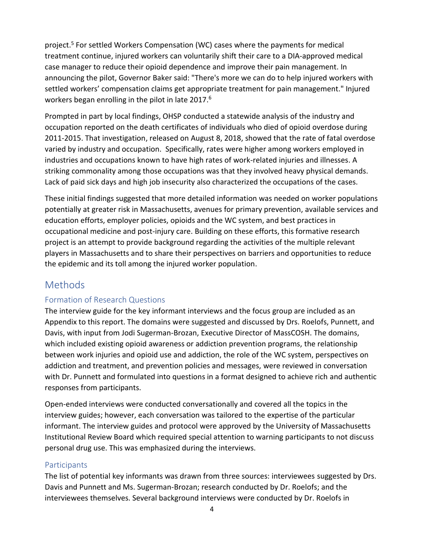<span id="page-6-0"></span>project. <sup>5</sup> For settled Workers Compensation (WC) cases where the payments for medical treatment continue, injured workers can voluntarily shift their care to a DIA-approved medical case manager to reduce their opioid dependence and improve their pain management. In announcing the pilot, Governor Baker said: "There's more we can do to help injured workers with settled workers' compensation claims get appropriate treatment for pain management." Injured workers began enrolling in the pilot in late 2017.<sup>6</sup>

Prompted in part by local findings, OHSP conducted a statewide analysis of the industry and occupation reported on the death certificates of individuals who died of opioid overdose during 2011-2015. That investigation, released on August 8, 2018, showed that the rate of fatal overdose varied by industry and occupation. Specifically, rates were higher among workers employed in industries and occupations known to have high rates of work-related injuries and illnesses. A striking commonality among those occupations was that they involved heavy physical demands. Lack of paid sick days and high job insecurity also characterized the occupations of the cases.

These initial findings suggested that more detailed information was needed on worker populations potentially at greater risk in Massachusetts, avenues for primary prevention, available services and education efforts, employer policies, opioids and the WC system, and best practices in occupational medicine and post-injury care. Building on these efforts, this formative research project is an attempt to provide background regarding the activities of the multiple relevant players in Massachusetts and to share their perspectives on barriers and opportunities to reduce the epidemic and its toll among the injured worker population.

## Methods

## Formation of Research Questions

The interview guide for the key informant interviews and the focus group are included as an Appendix to this report. The domains were suggested and discussed by Drs. Roelofs, Punnett, and Davis, with input from Jodi Sugerman-Brozan, Executive Director of MassCOSH. The domains, which included existing opioid awareness or addiction prevention programs, the relationship between work injuries and opioid use and addiction, the role of the WC system, perspectives on addiction and treatment, and prevention policies and messages, were reviewed in conversation with Dr. Punnett and formulated into questions in a format designed to achieve rich and authentic responses from participants.

Open-ended interviews were conducted conversationally and covered all the topics in the interview guides; however, each conversation was tailored to the expertise of the particular informant. The interview guides and protocol were approved by the University of Massachusetts Institutional Review Board which required special attention to warning participants to not discuss personal drug use. This was emphasized during the interviews.

## **Participants**

The list of potential key informants was drawn from three sources: interviewees suggested by Drs. Davis and Punnett and Ms. Sugerman-Brozan; research conducted by Dr. Roelofs; and the interviewees themselves. Several background interviews were conducted by Dr. Roelofs in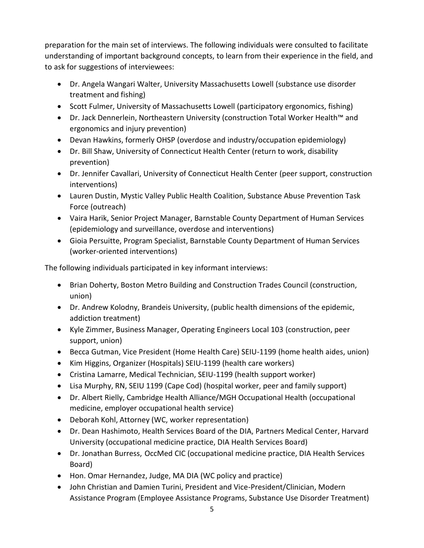preparation for the main set of interviews. The following individuals were consulted to facilitate understanding of important background concepts, to learn from their experience in the field, and to ask for suggestions of interviewees:

- Dr. Angela Wangari Walter, University Massachusetts Lowell (substance use disorder treatment and fishing)
- Scott Fulmer, University of Massachusetts Lowell (participatory ergonomics, fishing)
- Dr. Jack Dennerlein, Northeastern University (construction Total Worker Health™ and ergonomics and injury prevention)
- Devan Hawkins, formerly OHSP (overdose and industry/occupation epidemiology)
- Dr. Bill Shaw, University of Connecticut Health Center (return to work, disability prevention)
- Dr. Jennifer Cavallari, University of Connecticut Health Center (peer support, construction interventions)
- Lauren Dustin, Mystic Valley Public Health Coalition, Substance Abuse Prevention Task Force (outreach)
- Vaira Harik, Senior Project Manager, Barnstable County Department of Human Services (epidemiology and surveillance, overdose and interventions)
- Gioia Persuitte, Program Specialist, Barnstable County Department of Human Services (worker-oriented interventions)

The following individuals participated in key informant interviews:

- Brian Doherty, Boston Metro Building and Construction Trades Council (construction, union)
- Dr. Andrew Kolodny, Brandeis University, (public health dimensions of the epidemic, addiction treatment)
- Kyle Zimmer, Business Manager, Operating Engineers Local 103 (construction, peer support, union)
- Becca Gutman, Vice President (Home Health Care) SEIU-1199 (home health aides, union)
- Kim Higgins, Organizer (Hospitals) SEIU-1199 (health care workers)
- Cristina Lamarre, Medical Technician, SEIU-1199 (health support worker)
- Lisa Murphy, RN, SEIU 1199 (Cape Cod) (hospital worker, peer and family support)
- Dr. Albert Rielly, Cambridge Health Alliance/MGH Occupational Health (occupational medicine, employer occupational health service)
- Deborah Kohl, Attorney (WC, worker representation)
- Dr. Dean Hashimoto, Health Services Board of the DIA, Partners Medical Center, Harvard University (occupational medicine practice, DIA Health Services Board)
- Dr. Jonathan Burress, OccMed CIC (occupational medicine practice, DIA Health Services Board)
- Hon. Omar Hernandez, Judge, MA DIA (WC policy and practice)
- John Christian and Damien Turini, President and Vice-President/Clinician, Modern Assistance Program (Employee Assistance Programs, Substance Use Disorder Treatment)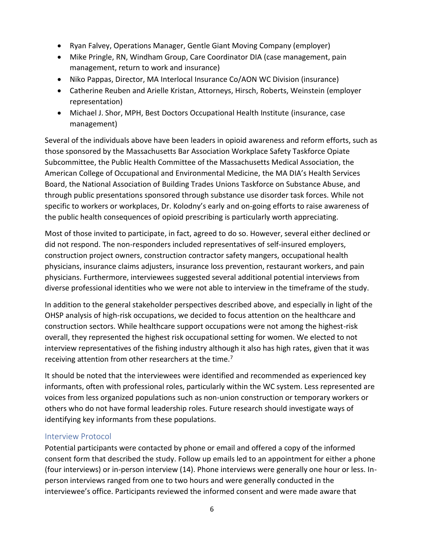- <span id="page-8-0"></span>• Ryan Falvey, Operations Manager, Gentle Giant Moving Company (employer)
- Mike Pringle, RN, Windham Group, Care Coordinator DIA (case management, pain management, return to work and insurance)
- Niko Pappas, Director, MA Interlocal Insurance Co/AON WC Division (insurance)
- Catherine Reuben and Arielle Kristan, Attorneys, Hirsch, Roberts, Weinstein (employer representation)
- Michael J. Shor, MPH, Best Doctors Occupational Health Institute (insurance, case management)

Several of the individuals above have been leaders in opioid awareness and reform efforts, such as those sponsored by the Massachusetts Bar Association Workplace Safety Taskforce Opiate Subcommittee, the Public Health Committee of the Massachusetts Medical Association, the American College of Occupational and Environmental Medicine, the MA DIA's Health Services Board, the National Association of Building Trades Unions Taskforce on Substance Abuse, and through public presentations sponsored through substance use disorder task forces. While not specific to workers or workplaces, Dr. Kolodny's early and on-going efforts to raise awareness of the public health consequences of opioid prescribing is particularly worth appreciating.

Most of those invited to participate, in fact, agreed to do so. However, several either declined or did not respond. The non-responders included representatives of self-insured employers, construction project owners, construction contractor safety mangers, occupational health physicians, insurance claims adjusters, insurance loss prevention, restaurant workers, and pain physicians. Furthermore, interviewees suggested several additional potential interviews from diverse professional identities who we were not able to interview in the timeframe of the study.

In addition to the general stakeholder perspectives described above, and especially in light of the OHSP analysis of high-risk occupations, we decided to focus attention on the healthcare and construction sectors. While healthcare support occupations were not among the highest-risk overall, they represented the highest risk occupational setting for women. We elected to not interview representatives of the fishing industry although it also has high rates, given that it was receiving attention from other researchers at the time.<sup>7</sup>

It should be noted that the interviewees were identified and recommended as experienced key informants, often with professional roles, particularly within the WC system. Less represented are voices from less organized populations such as non-union construction or temporary workers or others who do not have formal leadership roles. Future research should investigate ways of identifying key informants from these populations.

## Interview Protocol

Potential participants were contacted by phone or email and offered a copy of the informed consent form that described the study. Follow up emails led to an appointment for either a phone (four interviews) or in-person interview (14). Phone interviews were generally one hour or less. Inperson interviews ranged from one to two hours and were generally conducted in the interviewee's office. Participants reviewed the informed consent and were made aware that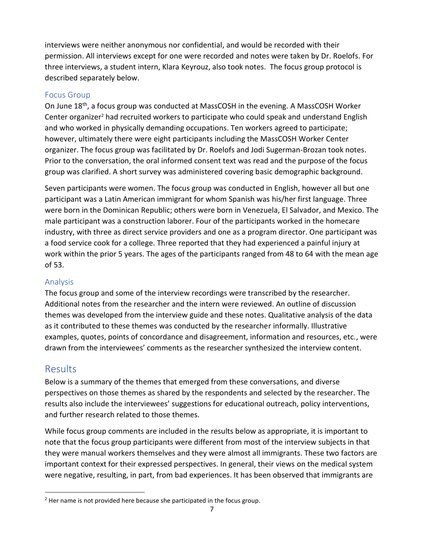<span id="page-9-0"></span>interviews were neither anonymous nor confidential, and would be recorded with their permission. All interviews except for one were recorded and notes were taken by Dr. Roelofs. For three interviews, a student intern, Klara Keyrouz, also took notes. The focus group protocol is described separately below.

## Focus Group

On June 18<sup>th</sup>, a focus group was conducted at MassCOSH in the evening. A MassCOSH Worker Center organizer<sup>2</sup> had recruited workers to participate who could speak and understand English and who worked in physically demanding occupations. Ten workers agreed to participate; however, ultimately there were eight participants including the MassCOSH Worker Center organizer. The focus group was facilitated by Dr. Roelofs and Jodi Sugerman-Brozan took notes. Prior to the conversation, the oral informed consent text was read and the purpose of the focus group was clarified. A short survey was administered covering basic demographic background.

Seven participants were women. The focus group was conducted in English, however all but one participant was a Latin American immigrant for whom Spanish was his/her first language. Three were born in the Dominican Republic; others were born in Venezuela, El Salvador, and Mexico. The male participant was a construction laborer. Four of the participants worked in the homecare industry, with three as direct service providers and one as a program director. One participant was a food service cook for a college. Three reported that they had experienced a painful injury at work within the prior 5 years. The ages of the participants ranged from 48 to 64 with the mean age of 53.

## Analysis

The focus group and some of the interview recordings were transcribed by the researcher. Additional notes from the researcher and the intern were reviewed. An outline of discussion themes was developed from the interview guide and these notes. Qualitative analysis of the data as it contributed to these themes was conducted by the researcher informally. Illustrative examples, quotes, points of concordance and disagreement, information and resources, etc., were drawn from the interviewees' comments as the researcher synthesized the interview content.

## Results

 $\overline{a}$ 

Below is a summary of the themes that emerged from these conversations, and diverse perspectives on those themes as shared by the respondents and selected by the researcher. The results also include the interviewees' suggestions for educational outreach, policy interventions, and further research related to those themes.

While focus group comments are included in the results below as appropriate, it is important to note that the focus group participants were different from most of the interview subjects in that they were manual workers themselves and they were almost all immigrants. These two factors are important context for their expressed perspectives. In general, their views on the medical system were negative, resulting, in part, from bad experiences. It has been observed that immigrants are

 $2$  Her name is not provided here because she participated in the focus group.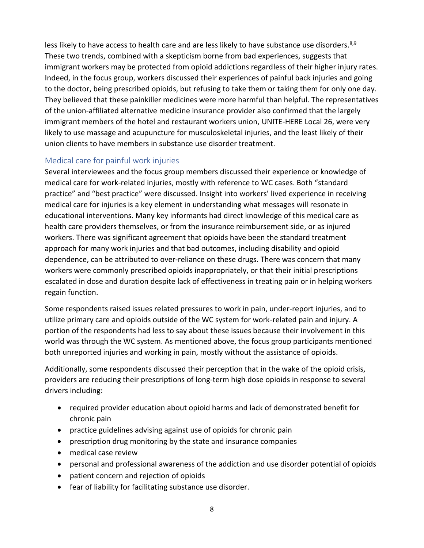<span id="page-10-0"></span>less likely to have access to health care and are less likely to have substance use disorders.<sup>8,9</sup> These two trends, combined with a skepticism borne from bad experiences, suggests that immigrant workers may be protected from opioid addictions regardless of their higher injury rates. Indeed, in the focus group, workers discussed their experiences of painful back injuries and going to the doctor, being prescribed opioids, but refusing to take them or taking them for only one day. They believed that these painkiller medicines were more harmful than helpful. The representatives of the union-affiliated alternative medicine insurance provider also confirmed that the largely immigrant members of the hotel and restaurant workers union, UNITE-HERE Local 26, were very likely to use massage and acupuncture for musculoskeletal injuries, and the least likely of their union clients to have members in substance use disorder treatment.

## Medical care for painful work injuries

Several interviewees and the focus group members discussed their experience or knowledge of medical care for work-related injuries, mostly with reference to WC cases. Both "standard practice" and "best practice" were discussed. Insight into workers' lived experience in receiving medical care for injuries is a key element in understanding what messages will resonate in educational interventions. Many key informants had direct knowledge of this medical care as health care providers themselves, or from the insurance reimbursement side, or as injured workers. There was significant agreement that opioids have been the standard treatment approach for many work injuries and that bad outcomes, including disability and opioid dependence, can be attributed to over-reliance on these drugs. There was concern that many workers were commonly prescribed opioids inappropriately, or that their initial prescriptions escalated in dose and duration despite lack of effectiveness in treating pain or in helping workers regain function.

Some respondents raised issues related pressures to work in pain, under-report injuries, and to utilize primary care and opioids outside of the WC system for work-related pain and injury. A portion of the respondents had less to say about these issues because their involvement in this world was through the WC system. As mentioned above, the focus group participants mentioned both unreported injuries and working in pain, mostly without the assistance of opioids.

Additionally, some respondents discussed their perception that in the wake of the opioid crisis, providers are reducing their prescriptions of long-term high dose opioids in response to several drivers including:

- required provider education about opioid harms and lack of demonstrated benefit for chronic pain
- practice guidelines advising against use of opioids for chronic pain
- prescription drug monitoring by the state and insurance companies
- medical case review
- personal and professional awareness of the addiction and use disorder potential of opioids
- patient concern and rejection of opioids
- fear of liability for facilitating substance use disorder.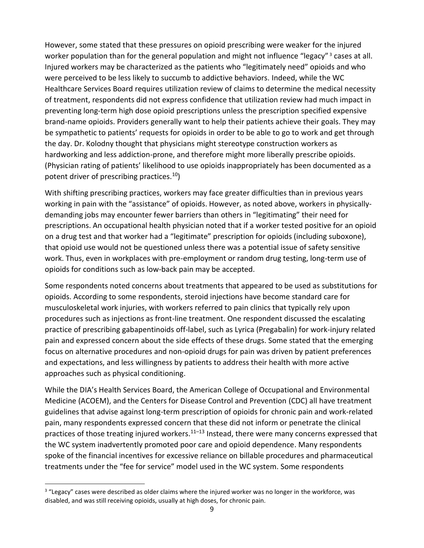However, some stated that these pressures on opioid prescribing were weaker for the injured worker population than for the general population and might not influence "legacy"<sup>3</sup> cases at all. Injured workers may be characterized as the patients who "legitimately need" opioids and who were perceived to be less likely to succumb to addictive behaviors. Indeed, while the WC Healthcare Services Board requires utilization review of claims to determine the medical necessity of treatment, respondents did not express confidence that utilization review had much impact in preventing long-term high dose opioid prescriptions unless the prescription specified expensive brand-name opioids. Providers generally want to help their patients achieve their goals. They may be sympathetic to patients' requests for opioids in order to be able to go to work and get through the day. Dr. Kolodny thought that physicians might stereotype construction workers as hardworking and less addiction-prone, and therefore might more liberally prescribe opioids. (Physician rating of patients' likelihood to use opioids inappropriately has been documented as a potent driver of prescribing practices.<sup>10</sup>)

With shifting prescribing practices, workers may face greater difficulties than in previous years working in pain with the "assistance" of opioids. However, as noted above, workers in physicallydemanding jobs may encounter fewer barriers than others in "legitimating" their need for prescriptions. An occupational health physician noted that if a worker tested positive for an opioid on a drug test and that worker had a "legitimate" prescription for opioids (including suboxone), that opioid use would not be questioned unless there was a potential issue of safety sensitive work. Thus, even in workplaces with pre-employment or random drug testing, long-term use of opioids for conditions such as low-back pain may be accepted.

Some respondents noted concerns about treatments that appeared to be used as substitutions for opioids. According to some respondents, steroid injections have become standard care for musculoskeletal work injuries, with workers referred to pain clinics that typically rely upon procedures such as injections as front-line treatment. One respondent discussed the escalating practice of prescribing gabapentinoids off-label, such as Lyrica (Pregabalin) for work-injury related pain and expressed concern about the side effects of these drugs. Some stated that the emerging focus on alternative procedures and non-opioid drugs for pain was driven by patient preferences and expectations, and less willingness by patients to address their health with more active approaches such as physical conditioning.

While the DIA's Health Services Board, the American College of Occupational and Environmental Medicine (ACOEM), and the Centers for Disease Control and Prevention (CDC) all have treatment guidelines that advise against long-term prescription of opioids for chronic pain and work-related pain, many respondents expressed concern that these did not inform or penetrate the clinical practices of those treating injured workers. $11-13$  Instead, there were many concerns expressed that the WC system inadvertently promoted poor care and opioid dependence. Many respondents spoke of the financial incentives for excessive reliance on billable procedures and pharmaceutical treatments under the "fee for service" model used in the WC system. Some respondents

 $\overline{a}$ 

<sup>&</sup>lt;sup>3</sup> "Legacy" cases were described as older claims where the injured worker was no longer in the workforce, was disabled, and was still receiving opioids, usually at high doses, for chronic pain.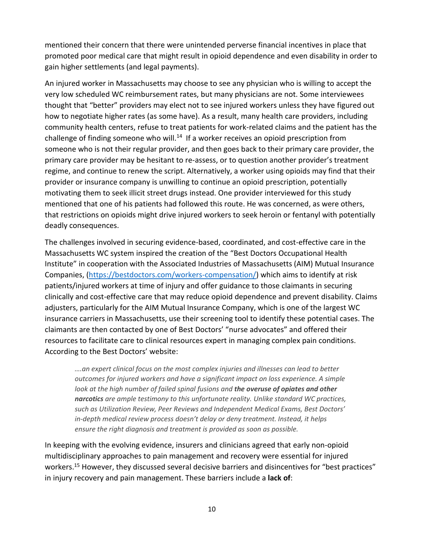mentioned their concern that there were unintended perverse financial incentives in place that promoted poor medical care that might result in opioid dependence and even disability in order to gain higher settlements (and legal payments).

An injured worker in Massachusetts may choose to see any physician who is willing to accept the very low scheduled WC reimbursement rates, but many physicians are not. Some interviewees thought that "better" providers may elect not to see injured workers unless they have figured out how to negotiate higher rates (as some have). As a result, many health care providers, including community health centers, refuse to treat patients for work-related claims and the patient has the challenge of finding someone who will.<sup>14</sup> If a worker receives an opioid prescription from someone who is not their regular provider, and then goes back to their primary care provider, the primary care provider may be hesitant to re-assess, or to question another provider's treatment regime, and continue to renew the script. Alternatively, a worker using opioids may find that their provider or insurance company is unwilling to continue an opioid prescription, potentially motivating them to seek illicit street drugs instead. One provider interviewed for this study mentioned that one of his patients had followed this route. He was concerned, as were others, that restrictions on opioids might drive injured workers to seek heroin or fentanyl with potentially deadly consequences.

The challenges involved in securing evidence-based, coordinated, and cost-effective care in the Massachusetts WC system inspired the creation of the "Best Doctors Occupational Health Institute" in cooperation with the Associated Industries of Massachusetts (AIM) Mutual Insurance Companies, [\(https://bestdoctors.com/workers-compensation/](https://bestdoctors.com/workers-compensation/)) which aims to identify at risk patients/injured workers at time of injury and offer guidance to those claimants in securing clinically and cost-effective care that may reduce opioid dependence and prevent disability. Claims adjusters, particularly for the AIM Mutual Insurance Company, which is one of the largest WC insurance carriers in Massachusetts, use their screening tool to identify these potential cases. The claimants are then contacted by one of Best Doctors' "nurse advocates" and offered their resources to facilitate care to clinical resources expert in managing complex pain conditions. According to the Best Doctors' website:

*….an expert clinical focus on the most complex injuries and illnesses can lead to better outcomes for injured workers and have a significant impact on loss experience. A simple look at the high number of failed spinal fusions and the overuse of opiates and other narcotics are ample testimony to this unfortunate reality. Unlike standard WC practices, such as Utilization Review, Peer Reviews and Independent Medical Exams, Best Doctors' in-depth medical review process doesn't delay or deny treatment. Instead, it helps ensure the right diagnosis and treatment is provided as soon as possible.* 

In keeping with the evolving evidence, insurers and clinicians agreed that early non-opioid multidisciplinary approaches to pain management and recovery were essential for injured workers.<sup>15</sup> However, they discussed several decisive barriers and disincentives for "best practices" in injury recovery and pain management. These barriers include a **lack of**: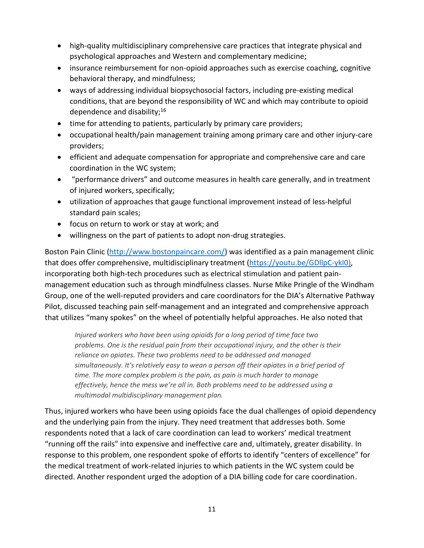- high-quality multidisciplinary comprehensive care practices that integrate physical and psychological approaches and Western and complementary medicine;
- insurance reimbursement for non-opioid approaches such as exercise coaching, cognitive behavioral therapy, and mindfulness;
- ways of addressing individual biopsychosocial factors, including pre-existing medical conditions, that are beyond the responsibility of WC and which may contribute to opioid dependence and disability; $16$
- time for attending to patients, particularly by primary care providers;
- occupational health/pain management training among primary care and other injury-care providers;
- efficient and adequate compensation for appropriate and comprehensive care and care coordination in the WC system;
- "performance drivers" and outcome measures in health care generally, and in treatment of injured workers, specifically;
- utilization of approaches that gauge functional improvement instead of less-helpful standard pain scales;
- focus on return to work or stay at work; and
- willingness on the part of patients to adopt non-drug strategies.

Boston Pain Clinic ([http://www.bostonpaincare.com/\)](http://www.bostonpaincare.com/) was identified as a pain management clinic that does offer comprehensive, multidisciplinary treatment [\(https://youtu.be/GDllpC-ykI0\)](https://youtu.be/GDllpC-ykI0), incorporating both high-tech procedures such as electrical stimulation and patient painmanagement education such as through mindfulness classes. Nurse Mike Pringle of the Windham Group, one of the well-reputed providers and care coordinators for the DIA's Alternative Pathway Pilot, discussed teaching pain self-management and an integrated and comprehensive approach that utilizes "many spokes" on the wheel of potentially helpful approaches. He also noted that

*Injured workers who have been using opioids for a long period of time face two problems. One is the residual pain from their occupational injury, and the other is their reliance on opiates. These two problems need to be addressed and managed simultaneously. It's relatively easy to wean a person off their opiates in a brief period of time. The more complex problem is the pain, as pain is much harder to manage effectively, hence the mess we're all in. Both problems need to be addressed using a multimodal multidisciplinary management plan.*

Thus, injured workers who have been using opioids face the dual challenges of opioid dependency and the underlying pain from the injury. They need treatment that addresses both. Some respondents noted that a lack of care coordination can lead to workers' medical treatment "running off the rails" into expensive and ineffective care and, ultimately, greater disability. In response to this problem, one respondent spoke of efforts to identify "centers of excellence" for the medical treatment of work-related injuries to which patients in the WC system could be directed. Another respondent urged the adoption of a DIA billing code for care coordination.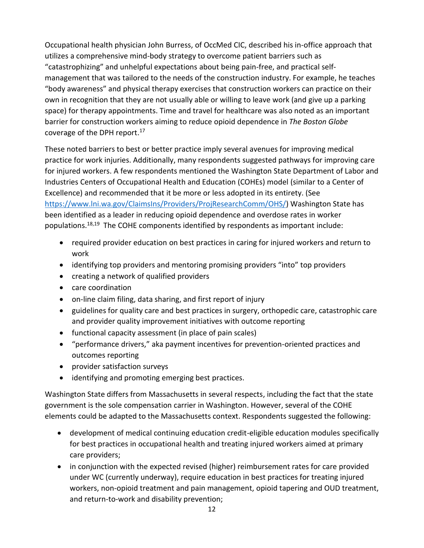Occupational health physician John Burress, of OccMed CIC, described his in-office approach that utilizes a comprehensive mind-body strategy to overcome patient barriers such as "catastrophizing" and unhelpful expectations about being pain-free, and practical selfmanagement that was tailored to the needs of the construction industry. For example, he teaches "body awareness" and physical therapy exercises that construction workers can practice on their own in recognition that they are not usually able or willing to leave work (and give up a parking space) for therapy appointments. Time and travel for healthcare was also noted as an important barrier for construction workers aiming to reduce opioid dependence in *The Boston Globe*  coverage of the DPH report. 17

These noted barriers to best or better practice imply several avenues for improving medical practice for work injuries. Additionally, many respondents suggested pathways for improving care for injured workers. A few respondents mentioned the Washington State Department of Labor and Industries Centers of Occupational Health and Education (COHEs) model (similar to a Center of Excellence) and recommended that it be more or less adopted in its entirety. (See [https://www.lni.wa.gov/ClaimsIns/Providers/ProjResearchComm/OHS/\)](https://www.lni.wa.gov/ClaimsIns/Providers/ProjResearchComm/OHS/) Washington State has been identified as a leader in reducing opioid dependence and overdose rates in worker populations.<sup>18,19</sup> The COHE components identified by respondents as important include:

- required provider education on best practices in caring for injured workers and return to work
- identifying top providers and mentoring promising providers "into" top providers
- creating a network of qualified providers
- care coordination
- on-line claim filing, data sharing, and first report of injury
- guidelines for quality care and best practices in surgery, orthopedic care, catastrophic care and provider quality improvement initiatives with outcome reporting
- functional capacity assessment (in place of pain scales)
- "performance drivers," aka payment incentives for prevention-oriented practices and outcomes reporting
- provider satisfaction surveys
- identifying and promoting emerging best practices.

Washington State differs from Massachusetts in several respects, including the fact that the state government is the sole compensation carrier in Washington. However, several of the COHE elements could be adapted to the Massachusetts context. Respondents suggested the following:

- development of medical continuing education credit-eligible education modules specifically for best practices in occupational health and treating injured workers aimed at primary care providers;
- in conjunction with the expected revised (higher) reimbursement rates for care provided under WC (currently underway), require education in best practices for treating injured workers, non-opioid treatment and pain management, opioid tapering and OUD treatment, and return-to-work and disability prevention;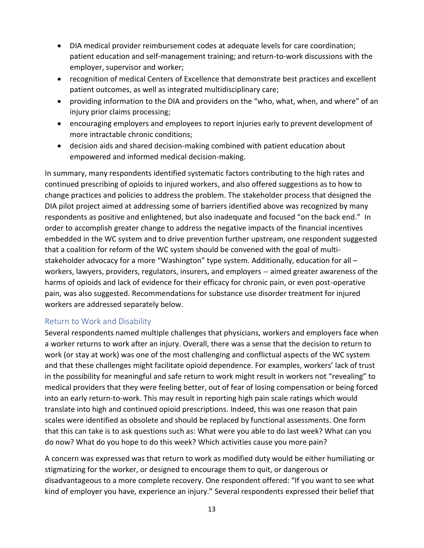- <span id="page-15-0"></span>• DIA medical provider reimbursement codes at adequate levels for care coordination; patient education and self-management training; and return-to-work discussions with the employer, supervisor and worker;
- recognition of medical Centers of Excellence that demonstrate best practices and excellent patient outcomes, as well as integrated multidisciplinary care;
- providing information to the DIA and providers on the "who, what, when, and where" of an injury prior claims processing;
- encouraging employers and employees to report injuries early to prevent development of more intractable chronic conditions;
- decision aids and shared decision-making combined with patient education about empowered and informed medical decision-making.

In summary, many respondents identified systematic factors contributing to the high rates and continued prescribing of opioids to injured workers, and also offered suggestions as to how to change practices and policies to address the problem. The stakeholder process that designed the DIA pilot project aimed at addressing some of barriers identified above was recognized by many respondents as positive and enlightened, but also inadequate and focused "on the back end." In order to accomplish greater change to address the negative impacts of the financial incentives embedded in the WC system and to drive prevention further upstream, one respondent suggested that a coalition for reform of the WC system should be convened with the goal of multistakeholder advocacy for a more "Washington" type system. Additionally, education for all workers, lawyers, providers, regulators, insurers, and employers -- aimed greater awareness of the harms of opioids and lack of evidence for their efficacy for chronic pain, or even post-operative pain, was also suggested. Recommendations for substance use disorder treatment for injured workers are addressed separately below.

## Return to Work and Disability

Several respondents named multiple challenges that physicians, workers and employers face when a worker returns to work after an injury. Overall, there was a sense that the decision to return to work (or stay at work) was one of the most challenging and conflictual aspects of the WC system and that these challenges might facilitate opioid dependence. For examples, workers' lack of trust in the possibility for meaningful and safe return to work might result in workers not "revealing" to medical providers that they were feeling better, out of fear of losing compensation or being forced into an early return-to-work. This may result in reporting high pain scale ratings which would translate into high and continued opioid prescriptions. Indeed, this was one reason that pain scales were identified as obsolete and should be replaced by functional assessments. One form that this can take is to ask questions such as: What were you able to do last week? What can you do now? What do you hope to do this week? Which activities cause you more pain?

A concern was expressed was that return to work as modified duty would be either humiliating or stigmatizing for the worker, or designed to encourage them to quit, or dangerous or disadvantageous to a more complete recovery. One respondent offered: "If you want to see what kind of employer you have, experience an injury." Several respondents expressed their belief that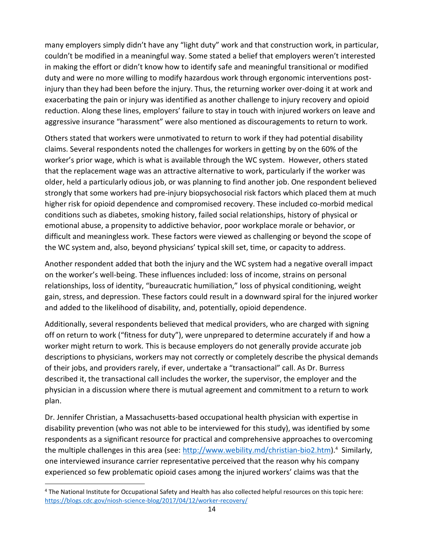many employers simply didn't have any "light duty" work and that construction work, in particular, couldn't be modified in a meaningful way. Some stated a belief that employers weren't interested in making the effort or didn't know how to identify safe and meaningful transitional or modified duty and were no more willing to modify hazardous work through ergonomic interventions postinjury than they had been before the injury. Thus, the returning worker over-doing it at work and exacerbating the pain or injury was identified as another challenge to injury recovery and opioid reduction. Along these lines, employers' failure to stay in touch with injured workers on leave and aggressive insurance "harassment" were also mentioned as discouragements to return to work.

Others stated that workers were unmotivated to return to work if they had potential disability claims. Several respondents noted the challenges for workers in getting by on the 60% of the worker's prior wage, which is what is available through the WC system. However, others stated that the replacement wage was an attractive alternative to work, particularly if the worker was older, held a particularly odious job, or was planning to find another job. One respondent believed strongly that some workers had pre-injury biopsychosocial risk factors which placed them at much higher risk for opioid dependence and compromised recovery. These included co-morbid medical conditions such as diabetes, smoking history, failed social relationships, history of physical or emotional abuse, a propensity to addictive behavior, poor workplace morale or behavior, or difficult and meaningless work. These factors were viewed as challenging or beyond the scope of the WC system and, also, beyond physicians' typical skill set, time, or capacity to address.

Another respondent added that both the injury and the WC system had a negative overall impact on the worker's well-being. These influences included: loss of income, strains on personal relationships, loss of identity, "bureaucratic humiliation," loss of physical conditioning, weight gain, stress, and depression. These factors could result in a downward spiral for the injured worker and added to the likelihood of disability, and, potentially, opioid dependence.

Additionally, several respondents believed that medical providers, who are charged with signing off on return to work ("fitness for duty"), were unprepared to determine accurately if and how a worker might return to work. This is because employers do not generally provide accurate job descriptions to physicians, workers may not correctly or completely describe the physical demands of their jobs, and providers rarely, if ever, undertake a "transactional" call. As Dr. Burress described it, the transactional call includes the worker, the supervisor, the employer and the physician in a discussion where there is mutual agreement and commitment to a return to work plan.

Dr. Jennifer Christian, a Massachusetts-based occupational health physician with expertise in disability prevention (who was not able to be interviewed for this study), was identified by some respondents as a significant resource for practical and comprehensive approaches to overcoming the multiple challenges in this area (see: [http://www.webility.md/christian-bio2.htm\)](http://www.webility.md/christian-bio2.htm).<sup>4</sup> Similarly, one interviewed insurance carrier representative perceived that the reason why his company experienced so few problematic opioid cases among the injured workers' claims was that the

 $\overline{a}$ 

<sup>4</sup> The National Institute for Occupational Safety and Health has also collected helpful resources on this topic here: <https://blogs.cdc.gov/niosh-science-blog/2017/04/12/worker-recovery/>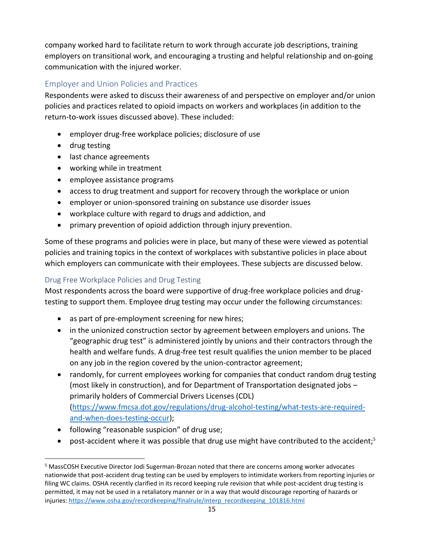<span id="page-17-0"></span>company worked hard to facilitate return to work through accurate job descriptions, training employers on transitional work, and encouraging a trusting and helpful relationship and on-going communication with the injured worker.

## Employer and Union Policies and Practices

Respondents were asked to discuss their awareness of and perspective on employer and/or union policies and practices related to opioid impacts on workers and workplaces (in addition to the return-to-work issues discussed above). These included:

- employer drug-free workplace policies; disclosure of use
- drug testing
- last chance agreements
- working while in treatment
- employee assistance programs
- access to drug treatment and support for recovery through the workplace or union
- employer or union-sponsored training on substance use disorder issues
- workplace culture with regard to drugs and addiction, and
- primary prevention of opioid addiction through injury prevention.

Some of these programs and policies were in place, but many of these were viewed as potential policies and training topics in the context of workplaces with substantive policies in place about which employers can communicate with their employees. These subjects are discussed below.

## Drug Free Workplace Policies and Drug Testing

Most respondents across the board were supportive of drug-free workplace policies and drugtesting to support them. Employee drug testing may occur under the following circumstances:

- as part of pre-employment screening for new hires;
- in the unionized construction sector by agreement between employers and unions. The "geographic drug test" is administered jointly by unions and their contractors through the health and welfare funds. A drug-free test result qualifies the union member to be placed on any job in the region covered by the union-contractor agreement;
- randomly, for current employees working for companies that conduct random drug testing (most likely in construction), and for Department of Transportation designated jobs – primarily holders of Commercial Drivers Licenses (CDL) [\(https://www.fmcsa.dot.gov/regulations/drug-alcohol-testing/what-tests-are-required](https://www.fmcsa.dot.gov/regulations/drug-alcohol-testing/what-tests-are-required-and-when-does-testing-occur)and-when-does-testing-occur);
- following "reasonable suspicion" of drug use;

 $\overline{a}$ 

• post-accident where it was possible that drug use might have contributed to the accident;<sup>5</sup>

<sup>5</sup> MassCOSH Executive Director Jodi Sugerman-Brozan noted that there are concerns among worker advocates nationwide that post-accident drug testing can be used by employers to intimidate workers from reporting injuries or filing WC claims. OSHA recently clarified in its record keeping rule revision that while post-accident drug testing is permitted, it may not be used in a retaliatory manner or in a way that would discourage reporting of hazards or injuries: [https://www.osha.gov/recordkeeping/finalrule/interp\\_recordkeeping\\_101816.html](https://www.osha.gov/recordkeeping/finalrule/interp_recordkeeping_101816.html)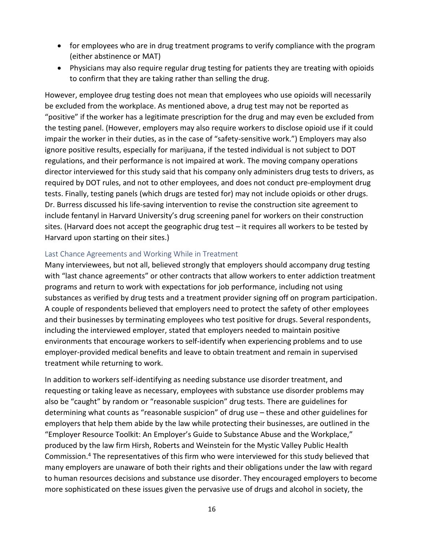- <span id="page-18-0"></span>• for employees who are in drug treatment programs to verify compliance with the program (either abstinence or MAT)
- Physicians may also require regular drug testing for patients they are treating with opioids to confirm that they are taking rather than selling the drug.

However, employee drug testing does not mean that employees who use opioids will necessarily be excluded from the workplace. As mentioned above, a drug test may not be reported as "positive" if the worker has a legitimate prescription for the drug and may even be excluded from the testing panel. (However, employers may also require workers to disclose opioid use if it could impair the worker in their duties, as in the case of "safety-sensitive work.") Employers may also ignore positive results, especially for marijuana, if the tested individual is not subject to DOT regulations, and their performance is not impaired at work. The moving company operations director interviewed for this study said that his company only administers drug tests to drivers, as required by DOT rules, and not to other employees, and does not conduct pre-employment drug tests. Finally, testing panels (which drugs are tested for) may not include opioids or other drugs. Dr. Burress discussed his life-saving intervention to revise the construction site agreement to include fentanyl in Harvard University's drug screening panel for workers on their construction sites. (Harvard does not accept the geographic drug test – it requires all workers to be tested by Harvard upon starting on their sites.)

#### Last Chance Agreements and Working While in Treatment

Many interviewees, but not all, believed strongly that employers should accompany drug testing with "last chance agreements" or other contracts that allow workers to enter addiction treatment programs and return to work with expectations for job performance, including not using substances as verified by drug tests and a treatment provider signing off on program participation. A couple of respondents believed that employers need to protect the safety of other employees and their businesses by terminating employees who test positive for drugs. Several respondents, including the interviewed employer, stated that employers needed to maintain positive environments that encourage workers to self-identify when experiencing problems and to use employer-provided medical benefits and leave to obtain treatment and remain in supervised treatment while returning to work.

In addition to workers self-identifying as needing substance use disorder treatment, and requesting or taking leave as necessary, employees with substance use disorder problems may also be "caught" by random or "reasonable suspicion" drug tests. There are guidelines for determining what counts as "reasonable suspicion" of drug use – these and other guidelines for employers that help them abide by the law while protecting their businesses, are outlined in the "Employer Resource Toolkit: An Employer's Guide to Substance Abuse and the Workplace," produced by the law firm Hirsh, Roberts and Weinstein for the Mystic Valley Public Health Commission. <sup>4</sup> The representatives of this firm who were interviewed for this study believed that many employers are unaware of both their rights and their obligations under the law with regard to human resources decisions and substance use disorder. They encouraged employers to become more sophisticated on these issues given the pervasive use of drugs and alcohol in society, the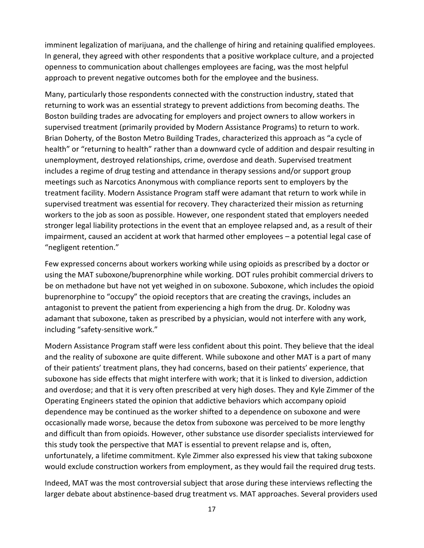imminent legalization of marijuana, and the challenge of hiring and retaining qualified employees. In general, they agreed with other respondents that a positive workplace culture, and a projected openness to communication about challenges employees are facing, was the most helpful approach to prevent negative outcomes both for the employee and the business.

Many, particularly those respondents connected with the construction industry, stated that returning to work was an essential strategy to prevent addictions from becoming deaths. The Boston building trades are advocating for employers and project owners to allow workers in supervised treatment (primarily provided by Modern Assistance Programs) to return to work. Brian Doherty, of the Boston Metro Building Trades, characterized this approach as "a cycle of health" or "returning to health" rather than a downward cycle of addition and despair resulting in unemployment, destroyed relationships, crime, overdose and death. Supervised treatment includes a regime of drug testing and attendance in therapy sessions and/or support group meetings such as Narcotics Anonymous with compliance reports sent to employers by the treatment facility. Modern Assistance Program staff were adamant that return to work while in supervised treatment was essential for recovery. They characterized their mission as returning workers to the job as soon as possible. However, one respondent stated that employers needed stronger legal liability protections in the event that an employee relapsed and, as a result of their impairment, caused an accident at work that harmed other employees – a potential legal case of "negligent retention."

Few expressed concerns about workers working while using opioids as prescribed by a doctor or using the MAT suboxone/buprenorphine while working. DOT rules prohibit commercial drivers to be on methadone but have not yet weighed in on suboxone. Suboxone, which includes the opioid buprenorphine to "occupy" the opioid receptors that are creating the cravings, includes an antagonist to prevent the patient from experiencing a high from the drug. Dr. Kolodny was adamant that suboxone, taken as prescribed by a physician, would not interfere with any work, including "safety-sensitive work."

Modern Assistance Program staff were less confident about this point. They believe that the ideal and the reality of suboxone are quite different. While suboxone and other MAT is a part of many of their patients' treatment plans, they had concerns, based on their patients' experience, that suboxone has side effects that might interfere with work; that it is linked to diversion, addiction and overdose; and that it is very often prescribed at very high doses. They and Kyle Zimmer of the Operating Engineers stated the opinion that addictive behaviors which accompany opioid dependence may be continued as the worker shifted to a dependence on suboxone and were occasionally made worse, because the detox from suboxone was perceived to be more lengthy and difficult than from opioids. However, other substance use disorder specialists interviewed for this study took the perspective that MAT is essential to prevent relapse and is, often, unfortunately, a lifetime commitment. Kyle Zimmer also expressed his view that taking suboxone would exclude construction workers from employment, as they would fail the required drug tests.

Indeed, MAT was the most controversial subject that arose during these interviews reflecting the larger debate about abstinence-based drug treatment vs. MAT approaches. Several providers used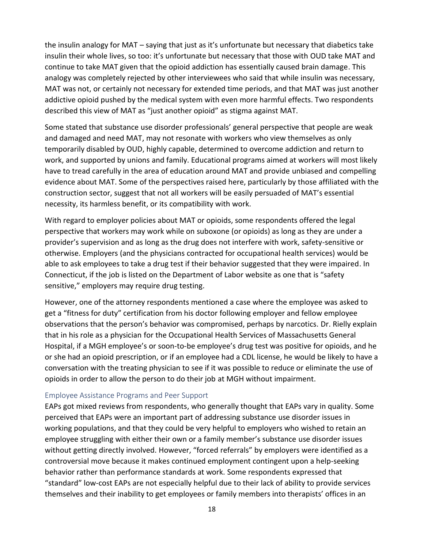<span id="page-20-0"></span>the insulin analogy for MAT – saying that just as it's unfortunate but necessary that diabetics take insulin their whole lives, so too: it's unfortunate but necessary that those with OUD take MAT and continue to take MAT given that the opioid addiction has essentially caused brain damage. This analogy was completely rejected by other interviewees who said that while insulin was necessary, MAT was not, or certainly not necessary for extended time periods, and that MAT was just another addictive opioid pushed by the medical system with even more harmful effects. Two respondents described this view of MAT as "just another opioid" as stigma against MAT.

Some stated that substance use disorder professionals' general perspective that people are weak and damaged and need MAT, may not resonate with workers who view themselves as only temporarily disabled by OUD, highly capable, determined to overcome addiction and return to work, and supported by unions and family. Educational programs aimed at workers will most likely have to tread carefully in the area of education around MAT and provide unbiased and compelling evidence about MAT. Some of the perspectives raised here, particularly by those affiliated with the construction sector, suggest that not all workers will be easily persuaded of MAT's essential necessity, its harmless benefit, or its compatibility with work.

With regard to employer policies about MAT or opioids, some respondents offered the legal perspective that workers may work while on suboxone (or opioids) as long as they are under a provider's supervision and as long as the drug does not interfere with work, safety-sensitive or otherwise. Employers (and the physicians contracted for occupational health services) would be able to ask employees to take a drug test if their behavior suggested that they were impaired. In Connecticut, if the job is listed on the Department of Labor website as one that is "safety sensitive," employers may require drug testing.

However, one of the attorney respondents mentioned a case where the employee was asked to get a "fitness for duty" certification from his doctor following employer and fellow employee observations that the person's behavior was compromised, perhaps by narcotics. Dr. Rielly explain that in his role as a physician for the Occupational Health Services of Massachusetts General Hospital, if a MGH employee's or soon-to-be employee's drug test was positive for opioids, and he or she had an opioid prescription, or if an employee had a CDL license, he would be likely to have a conversation with the treating physician to see if it was possible to reduce or eliminate the use of opioids in order to allow the person to do their job at MGH without impairment.

#### Employee Assistance Programs and Peer Support

EAPs got mixed reviews from respondents, who generally thought that EAPs vary in quality. Some perceived that EAPs were an important part of addressing substance use disorder issues in working populations, and that they could be very helpful to employers who wished to retain an employee struggling with either their own or a family member's substance use disorder issues without getting directly involved. However, "forced referrals" by employers were identified as a controversial move because it makes continued employment contingent upon a help-seeking behavior rather than performance standards at work. Some respondents expressed that "standard" low-cost EAPs are not especially helpful due to their lack of ability to provide services themselves and their inability to get employees or family members into therapists' offices in an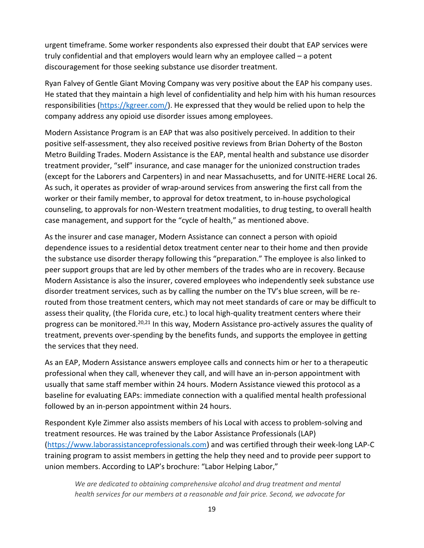urgent timeframe. Some worker respondents also expressed their doubt that EAP services were truly confidential and that employers would learn why an employee called – a potent discouragement for those seeking substance use disorder treatment.

Ryan Falvey of Gentle Giant Moving Company was very positive about the EAP his company uses. He stated that they maintain a high level of confidentiality and help him with his human resources responsibilities ( $https://kgreer.com/$ ). He expressed that they would be relied upon to help the company address any opioid use disorder issues among employees.

Modern Assistance Program is an EAP that was also positively perceived. In addition to their positive self-assessment, they also received positive reviews from Brian Doherty of the Boston Metro Building Trades. Modern Assistance is the EAP, mental health and substance use disorder treatment provider, "self" insurance, and case manager for the unionized construction trades (except for the Laborers and Carpenters) in and near Massachusetts, and for UNITE-HERE Local 26. As such, it operates as provider of wrap-around services from answering the first call from the worker or their family member, to approval for detox treatment, to in-house psychological counseling, to approvals for non-Western treatment modalities, to drug testing, to overall health case management, and support for the "cycle of health," as mentioned above.

As the insurer and case manager, Modern Assistance can connect a person with opioid dependence issues to a residential detox treatment center near to their home and then provide the substance use disorder therapy following this "preparation." The employee is also linked to peer support groups that are led by other members of the trades who are in recovery. Because Modern Assistance is also the insurer, covered employees who independently seek substance use disorder treatment services, such as by calling the number on the TV's blue screen, will be rerouted from those treatment centers, which may not meet standards of care or may be difficult to assess their quality, (the Florida cure, etc.) to local high-quality treatment centers where their progress can be monitored.<sup>20,21</sup> In this way, Modern Assistance pro-actively assures the quality of treatment, prevents over-spending by the benefits funds, and supports the employee in getting the services that they need.

As an EAP, Modern Assistance answers employee calls and connects him or her to a therapeutic professional when they call, whenever they call, and will have an in-person appointment with usually that same staff member within 24 hours. Modern Assistance viewed this protocol as a baseline for evaluating EAPs: immediate connection with a qualified mental health professional followed by an in-person appointment within 24 hours.

Respondent Kyle Zimmer also assists members of his Local with access to problem-solving and treatment resources. He was trained by the Labor Assistance Professionals (LAP) [\(https://www.laborassistanceprofessionals.com\)](https://www.laborassistanceprofessionals.com/) and was certified through their week-long LAP-C training program to assist members in getting the help they need and to provide peer support to union members. According to LAP's brochure: "Labor Helping Labor,"

*We are dedicated to obtaining comprehensive alcohol and drug treatment and mental health services for our members at a reasonable and fair price. Second, we advocate for*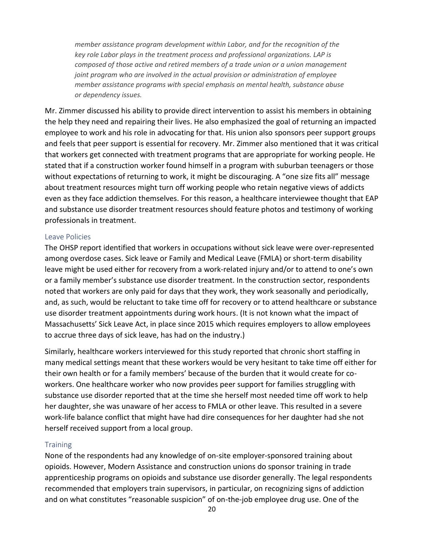<span id="page-22-0"></span>*member assistance program development within Labor, and for the recognition of the key role Labor plays in the treatment process and professional organizations. LAP is composed of those active and retired members of a trade union or a union management joint program who are involved in the actual provision or administration of employee member assistance programs with special emphasis on mental health, substance abuse or dependency issues.*

Mr. Zimmer discussed his ability to provide direct intervention to assist his members in obtaining the help they need and repairing their lives. He also emphasized the goal of returning an impacted employee to work and his role in advocating for that. His union also sponsors peer support groups and feels that peer support is essential for recovery. Mr. Zimmer also mentioned that it was critical that workers get connected with treatment programs that are appropriate for working people. He stated that if a construction worker found himself in a program with suburban teenagers or those without expectations of returning to work, it might be discouraging. A "one size fits all" message about treatment resources might turn off working people who retain negative views of addicts even as they face addiction themselves. For this reason, a healthcare interviewee thought that EAP and substance use disorder treatment resources should feature photos and testimony of working professionals in treatment.

#### Leave Policies

The OHSP report identified that workers in occupations without sick leave were over-represented among overdose cases. Sick leave or Family and Medical Leave (FMLA) or short-term disability leave might be used either for recovery from a work-related injury and/or to attend to one's own or a family member's substance use disorder treatment. In the construction sector, respondents noted that workers are only paid for days that they work, they work seasonally and periodically, and, as such, would be reluctant to take time off for recovery or to attend healthcare or substance use disorder treatment appointments during work hours. (It is not known what the impact of Massachusetts' Sick Leave Act, in place since 2015 which requires employers to allow employees to accrue three days of sick leave, has had on the industry.)

Similarly, healthcare workers interviewed for this study reported that chronic short staffing in many medical settings meant that these workers would be very hesitant to take time off either for their own health or for a family members' because of the burden that it would create for coworkers. One healthcare worker who now provides peer support for families struggling with substance use disorder reported that at the time she herself most needed time off work to help her daughter, she was unaware of her access to FMLA or other leave. This resulted in a severe work-life balance conflict that might have had dire consequences for her daughter had she not herself received support from a local group.

#### **Training**

None of the respondents had any knowledge of on-site employer-sponsored training about opioids. However, Modern Assistance and construction unions do sponsor training in trade apprenticeship programs on opioids and substance use disorder generally. The legal respondents recommended that employers train supervisors, in particular, on recognizing signs of addiction and on what constitutes "reasonable suspicion" of on-the-job employee drug use. One of the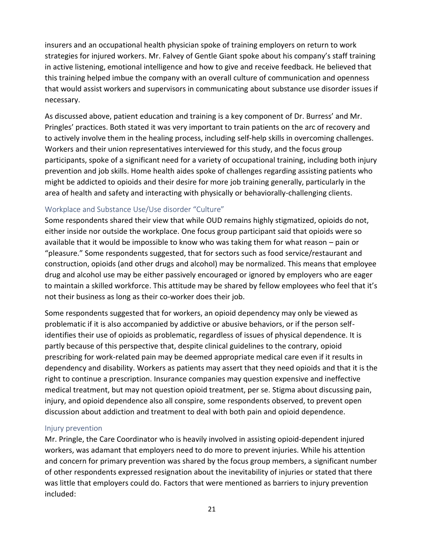<span id="page-23-0"></span>insurers and an occupational health physician spoke of training employers on return to work strategies for injured workers. Mr. Falvey of Gentle Giant spoke about his company's staff training in active listening, emotional intelligence and how to give and receive feedback. He believed that this training helped imbue the company with an overall culture of communication and openness that would assist workers and supervisors in communicating about substance use disorder issues if necessary.

As discussed above, patient education and training is a key component of Dr. Burress' and Mr. Pringles' practices. Both stated it was very important to train patients on the arc of recovery and to actively involve them in the healing process, including self-help skills in overcoming challenges. Workers and their union representatives interviewed for this study, and the focus group participants, spoke of a significant need for a variety of occupational training, including both injury prevention and job skills. Home health aides spoke of challenges regarding assisting patients who might be addicted to opioids and their desire for more job training generally, particularly in the area of health and safety and interacting with physically or behaviorally-challenging clients.

#### Workplace and Substance Use/Use disorder "Culture"

Some respondents shared their view that while OUD remains highly stigmatized, opioids do not, either inside nor outside the workplace. One focus group participant said that opioids were so available that it would be impossible to know who was taking them for what reason – pain or "pleasure." Some respondents suggested, that for sectors such as food service/restaurant and construction, opioids (and other drugs and alcohol) may be normalized. This means that employee drug and alcohol use may be either passively encouraged or ignored by employers who are eager to maintain a skilled workforce. This attitude may be shared by fellow employees who feel that it's not their business as long as their co-worker does their job.

Some respondents suggested that for workers, an opioid dependency may only be viewed as problematic if it is also accompanied by addictive or abusive behaviors, or if the person selfidentifies their use of opioids as problematic, regardless of issues of physical dependence. It is partly because of this perspective that, despite clinical guidelines to the contrary, opioid prescribing for work-related pain may be deemed appropriate medical care even if it results in dependency and disability. Workers as patients may assert that they need opioids and that it is the right to continue a prescription. Insurance companies may question expensive and ineffective medical treatment, but may not question opioid treatment, per se. Stigma about discussing pain, injury, and opioid dependence also all conspire, some respondents observed, to prevent open discussion about addiction and treatment to deal with both pain and opioid dependence.

#### Injury prevention

Mr. Pringle, the Care Coordinator who is heavily involved in assisting opioid-dependent injured workers, was adamant that employers need to do more to prevent injuries. While his attention and concern for primary prevention was shared by the focus group members, a significant number of other respondents expressed resignation about the inevitability of injuries or stated that there was little that employers could do. Factors that were mentioned as barriers to injury prevention included: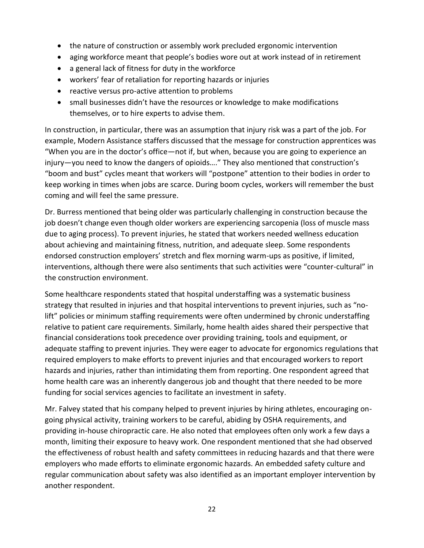- the nature of construction or assembly work precluded ergonomic intervention
- aging workforce meant that people's bodies wore out at work instead of in retirement
- a general lack of fitness for duty in the workforce
- workers' fear of retaliation for reporting hazards or injuries
- reactive versus pro-active attention to problems
- small businesses didn't have the resources or knowledge to make modifications themselves, or to hire experts to advise them.

In construction, in particular, there was an assumption that injury risk was a part of the job. For example, Modern Assistance staffers discussed that the message for construction apprentices was "When you are in the doctor's office—not if, but when, because you are going to experience an injury—you need to know the dangers of opioids…." They also mentioned that construction's "boom and bust" cycles meant that workers will "postpone" attention to their bodies in order to keep working in times when jobs are scarce. During boom cycles, workers will remember the bust coming and will feel the same pressure.

Dr. Burress mentioned that being older was particularly challenging in construction because the job doesn't change even though older workers are experiencing sarcopenia (loss of muscle mass due to aging process). To prevent injuries, he stated that workers needed wellness education about achieving and maintaining fitness, nutrition, and adequate sleep. Some respondents endorsed construction employers' stretch and flex morning warm-ups as positive, if limited, interventions, although there were also sentiments that such activities were "counter-cultural" in the construction environment.

Some healthcare respondents stated that hospital understaffing was a systematic business strategy that resulted in injuries and that hospital interventions to prevent injuries, such as "nolift" policies or minimum staffing requirements were often undermined by chronic understaffing relative to patient care requirements. Similarly, home health aides shared their perspective that financial considerations took precedence over providing training, tools and equipment, or adequate staffing to prevent injuries. They were eager to advocate for ergonomics regulations that required employers to make efforts to prevent injuries and that encouraged workers to report hazards and injuries, rather than intimidating them from reporting. One respondent agreed that home health care was an inherently dangerous job and thought that there needed to be more funding for social services agencies to facilitate an investment in safety.

Mr. Falvey stated that his company helped to prevent injuries by hiring athletes, encouraging ongoing physical activity, training workers to be careful, abiding by OSHA requirements, and providing in-house chiropractic care. He also noted that employees often only work a few days a month, limiting their exposure to heavy work. One respondent mentioned that she had observed the effectiveness of robust health and safety committees in reducing hazards and that there were employers who made efforts to eliminate ergonomic hazards. An embedded safety culture and regular communication about safety was also identified as an important employer intervention by another respondent.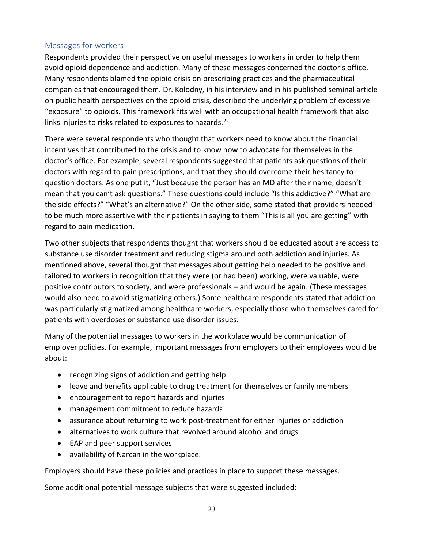## <span id="page-25-0"></span>Messages for workers

Respondents provided their perspective on useful messages to workers in order to help them avoid opioid dependence and addiction. Many of these messages concerned the doctor's office. Many respondents blamed the opioid crisis on prescribing practices and the pharmaceutical companies that encouraged them. Dr. Kolodny, in his interview and in his published seminal article on public health perspectives on the opioid crisis, described the underlying problem of excessive "exposure" to opioids. This framework fits well with an occupational health framework that also links injuries to risks related to exposures to hazards. $^{22}$ 

There were several respondents who thought that workers need to know about the financial incentives that contributed to the crisis and to know how to advocate for themselves in the doctor's office. For example, several respondents suggested that patients ask questions of their doctors with regard to pain prescriptions, and that they should overcome their hesitancy to question doctors. As one put it, "Just because the person has an MD after their name, doesn't mean that you can't ask questions." These questions could include "Is this addictive?" "What are the side effects?" "What's an alternative?" On the other side, some stated that providers needed to be much more assertive with their patients in saying to them "This is all you are getting" with regard to pain medication.

Two other subjects that respondents thought that workers should be educated about are access to substance use disorder treatment and reducing stigma around both addiction and injuries. As mentioned above, several thought that messages about getting help needed to be positive and tailored to workers in recognition that they were (or had been) working, were valuable, were positive contributors to society, and were professionals – and would be again. (These messages would also need to avoid stigmatizing others.) Some healthcare respondents stated that addiction was particularly stigmatized among healthcare workers, especially those who themselves cared for patients with overdoses or substance use disorder issues.

Many of the potential messages to workers in the workplace would be communication of employer policies. For example, important messages from employers to their employees would be about:

- recognizing signs of addiction and getting help
- leave and benefits applicable to drug treatment for themselves or family members
- encouragement to report hazards and injuries
- management commitment to reduce hazards
- assurance about returning to work post-treatment for either injuries or addiction
- alternatives to work culture that revolved around alcohol and drugs
- EAP and peer support services
- availability of Narcan in the workplace.

Employers should have these policies and practices in place to support these messages.

Some additional potential message subjects that were suggested included: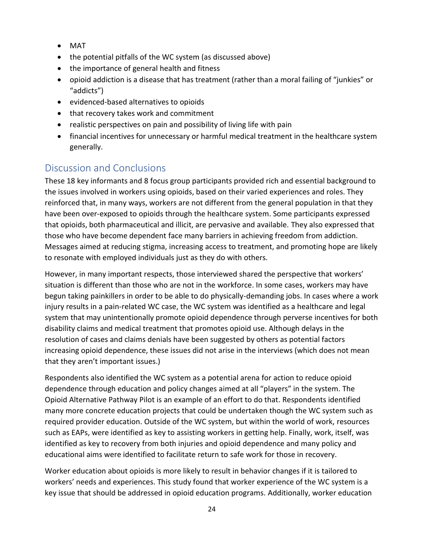- <span id="page-26-0"></span>• MAT
- the potential pitfalls of the WC system (as discussed above)
- the importance of general health and fitness
- opioid addiction is a disease that has treatment (rather than a moral failing of "junkies" or "addicts")
- evidenced-based alternatives to opioids
- that recovery takes work and commitment
- realistic perspectives on pain and possibility of living life with pain
- financial incentives for unnecessary or harmful medical treatment in the healthcare system generally.

# Discussion and Conclusions

These 18 key informants and 8 focus group participants provided rich and essential background to the issues involved in workers using opioids, based on their varied experiences and roles. They reinforced that, in many ways, workers are not different from the general population in that they have been over-exposed to opioids through the healthcare system. Some participants expressed that opioids, both pharmaceutical and illicit, are pervasive and available. They also expressed that those who have become dependent face many barriers in achieving freedom from addiction. Messages aimed at reducing stigma, increasing access to treatment, and promoting hope are likely to resonate with employed individuals just as they do with others.

However, in many important respects, those interviewed shared the perspective that workers' situation is different than those who are not in the workforce. In some cases, workers may have begun taking painkillers in order to be able to do physically-demanding jobs. In cases where a work injury results in a pain-related WC case, the WC system was identified as a healthcare and legal system that may unintentionally promote opioid dependence through perverse incentives for both disability claims and medical treatment that promotes opioid use. Although delays in the resolution of cases and claims denials have been suggested by others as potential factors increasing opioid dependence, these issues did not arise in the interviews (which does not mean that they aren't important issues.)

Respondents also identified the WC system as a potential arena for action to reduce opioid dependence through education and policy changes aimed at all "players" in the system. The Opioid Alternative Pathway Pilot is an example of an effort to do that. Respondents identified many more concrete education projects that could be undertaken though the WC system such as required provider education. Outside of the WC system, but within the world of work, resources such as EAPs, were identified as key to assisting workers in getting help. Finally, work, itself, was identified as key to recovery from both injuries and opioid dependence and many policy and educational aims were identified to facilitate return to safe work for those in recovery.

Worker education about opioids is more likely to result in behavior changes if it is tailored to workers' needs and experiences. This study found that worker experience of the WC system is a key issue that should be addressed in opioid education programs. Additionally, worker education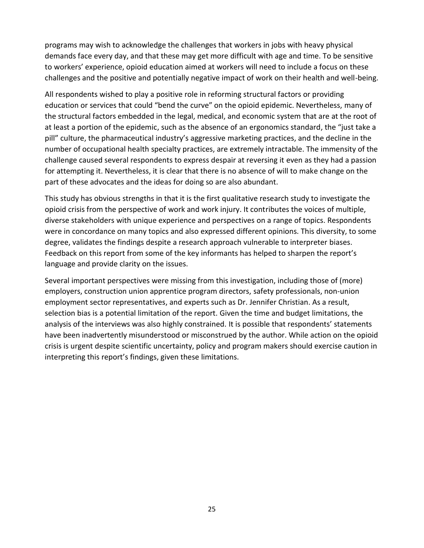programs may wish to acknowledge the challenges that workers in jobs with heavy physical demands face every day, and that these may get more difficult with age and time. To be sensitive to workers' experience, opioid education aimed at workers will need to include a focus on these challenges and the positive and potentially negative impact of work on their health and well-being.

All respondents wished to play a positive role in reforming structural factors or providing education or services that could "bend the curve" on the opioid epidemic. Nevertheless, many of the structural factors embedded in the legal, medical, and economic system that are at the root of at least a portion of the epidemic, such as the absence of an ergonomics standard, the "just take a pill" culture, the pharmaceutical industry's aggressive marketing practices, and the decline in the number of occupational health specialty practices, are extremely intractable. The immensity of the challenge caused several respondents to express despair at reversing it even as they had a passion for attempting it. Nevertheless, it is clear that there is no absence of will to make change on the part of these advocates and the ideas for doing so are also abundant.

This study has obvious strengths in that it is the first qualitative research study to investigate the opioid crisis from the perspective of work and work injury. It contributes the voices of multiple, diverse stakeholders with unique experience and perspectives on a range of topics. Respondents were in concordance on many topics and also expressed different opinions. This diversity, to some degree, validates the findings despite a research approach vulnerable to interpreter biases. Feedback on this report from some of the key informants has helped to sharpen the report's language and provide clarity on the issues.

Several important perspectives were missing from this investigation, including those of (more) employers, construction union apprentice program directors, safety professionals, non-union employment sector representatives, and experts such as Dr. Jennifer Christian. As a result, selection bias is a potential limitation of the report. Given the time and budget limitations, the analysis of the interviews was also highly constrained. It is possible that respondents' statements have been inadvertently misunderstood or misconstrued by the author. While action on the opioid crisis is urgent despite scientific uncertainty, policy and program makers should exercise caution in interpreting this report's findings, given these limitations.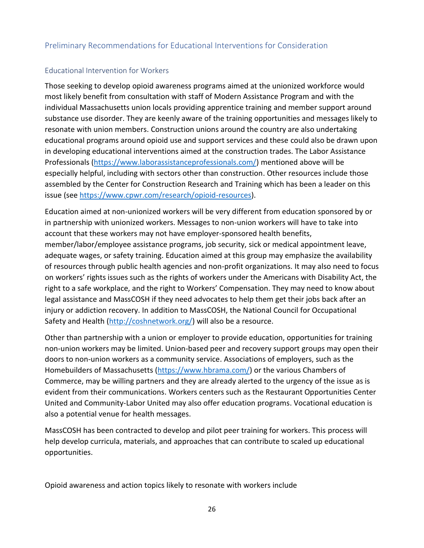## <span id="page-28-0"></span>Preliminary Recommendations for Educational Interventions for Consideration

### Educational Intervention for Workers

Those seeking to develop opioid awareness programs aimed at the unionized workforce would most likely benefit from consultation with staff of Modern Assistance Program and with the individual Massachusetts union locals providing apprentice training and member support around substance use disorder. They are keenly aware of the training opportunities and messages likely to resonate with union members. Construction unions around the country are also undertaking educational programs around opioid use and support services and these could also be drawn upon in developing educational interventions aimed at the construction trades. The Labor Assistance Professionals [\(https://www.laborassistanceprofessionals.com/](https://www.laborassistanceprofessionals.com/)) mentioned above will be especially helpful, including with sectors other than construction. Other resources include those assembled by the Center for Construction Research and Training which has been a leader on this issue (see [https://www.cpwr.com/research/opioid-resources\)](https://www.cpwr.com/research/opioid-resources).

Education aimed at non-unionized workers will be very different from education sponsored by or in partnership with unionized workers. Messages to non-union workers will have to take into account that these workers may not have employer-sponsored health benefits, member/labor/employee assistance programs, job security, sick or medical appointment leave, adequate wages, or safety training. Education aimed at this group may emphasize the availability of resources through public health agencies and non-profit organizations. It may also need to focus on workers' rights issues such as the rights of workers under the Americans with Disability Act, the right to a safe workplace, and the right to Workers' Compensation. They may need to know about legal assistance and MassCOSH if they need advocates to help them get their jobs back after an injury or addiction recovery. In addition to MassCOSH, the National Council for Occupational Safety and Health ([http://coshnetwork.org/\)](http://coshnetwork.org/) will also be a resource.

Other than partnership with a union or employer to provide education, opportunities for training non-union workers may be limited. Union-based peer and recovery support groups may open their doors to non-union workers as a community service. Associations of employers, such as the Homebuilders of Massachusetts (<https://www.hbrama.com/>) or the various Chambers of Commerce, may be willing partners and they are already alerted to the urgency of the issue as is evident from their communications. Workers centers such as the Restaurant Opportunities Center United and Community-Labor United may also offer education programs. Vocational education is also a potential venue for health messages.

MassCOSH has been contracted to develop and pilot peer training for workers. This process will help develop curricula, materials, and approaches that can contribute to scaled up educational opportunities.

Opioid awareness and action topics likely to resonate with workers include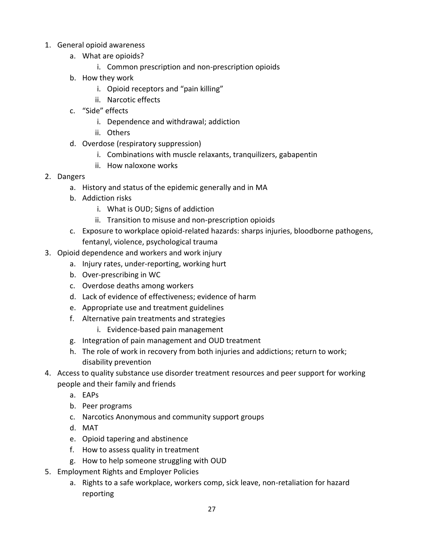- 1. General opioid awareness
	- a. What are opioids?
		- i. Common prescription and non-prescription opioids
	- b. How they work
		- i. Opioid receptors and "pain killing"
		- ii. Narcotic effects
	- c. "Side" effects
		- i. Dependence and withdrawal; addiction
		- ii. Others
	- d. Overdose (respiratory suppression)
		- i. Combinations with muscle relaxants, tranquilizers, gabapentin
		- ii. How naloxone works
- 2. Dangers
	- a. History and status of the epidemic generally and in MA
	- b. Addiction risks
		- i. What is OUD; Signs of addiction
		- ii. Transition to misuse and non-prescription opioids
	- c. Exposure to workplace opioid-related hazards: sharps injuries, bloodborne pathogens, fentanyl, violence, psychological trauma
- 3. Opioid dependence and workers and work injury
	- a. Injury rates, under-reporting, working hurt
	- b. Over-prescribing in WC
	- c. Overdose deaths among workers
	- d. Lack of evidence of effectiveness; evidence of harm
	- e. Appropriate use and treatment guidelines
	- f. Alternative pain treatments and strategies
		- i. Evidence-based pain management
	- g. Integration of pain management and OUD treatment
	- h. The role of work in recovery from both injuries and addictions; return to work; disability prevention
- 4. Access to quality substance use disorder treatment resources and peer support for working people and their family and friends
	- a. EAPs
	- b. Peer programs
	- c. Narcotics Anonymous and community support groups
	- d. MAT
	- e. Opioid tapering and abstinence
	- f. How to assess quality in treatment
	- g. How to help someone struggling with OUD
- 5. Employment Rights and Employer Policies
	- a. Rights to a safe workplace, workers comp, sick leave, non-retaliation for hazard reporting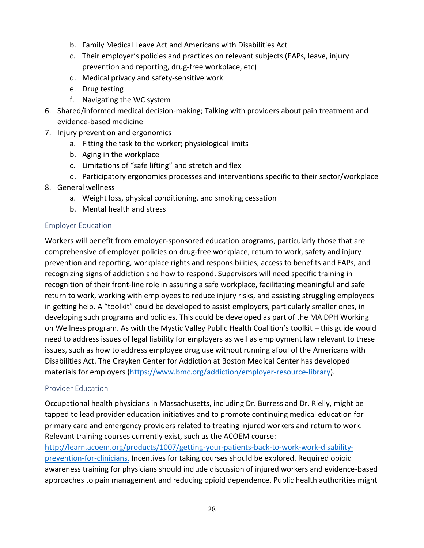- <span id="page-30-0"></span>b. Family Medical Leave Act and Americans with Disabilities Act
- c. Their employer's policies and practices on relevant subjects (EAPs, leave, injury prevention and reporting, drug-free workplace, etc)
- d. Medical privacy and safety-sensitive work
- e. Drug testing
- f. Navigating the WC system
- 6. Shared/informed medical decision-making; Talking with providers about pain treatment and evidence-based medicine
- 7. Injury prevention and ergonomics
	- a. Fitting the task to the worker; physiological limits
	- b. Aging in the workplace
	- c. Limitations of "safe lifting" and stretch and flex
	- d. Participatory ergonomics processes and interventions specific to their sector/workplace
- 8. General wellness
	- a. Weight loss, physical conditioning, and smoking cessation
	- b. Mental health and stress

#### Employer Education

Workers will benefit from employer-sponsored education programs, particularly those that are comprehensive of employer policies on drug-free workplace, return to work, safety and injury prevention and reporting, workplace rights and responsibilities, access to benefits and EAPs, and recognizing signs of addiction and how to respond. Supervisors will need specific training in recognition of their front-line role in assuring a safe workplace, facilitating meaningful and safe return to work, working with employees to reduce injury risks, and assisting struggling employees in getting help. A "toolkit" could be developed to assist employers, particularly smaller ones, in developing such programs and policies. This could be developed as part of the MA DPH Working on Wellness program. As with the Mystic Valley Public Health Coalition's toolkit – this guide would need to address issues of legal liability for employers as well as employment law relevant to these issues, such as how to address employee drug use without running afoul of the Americans with Disabilities Act. The Grayken Center for Addiction at Boston Medical Center has developed materials for employers [\(https://www.bmc.org/addiction/employer-resource-library](https://www.bmc.org/addiction/employer-resource-library)).

#### Provider Education

Occupational health physicians in Massachusetts, including Dr. Burress and Dr. Rielly, might be tapped to lead provider education initiatives and to promote continuing medical education for primary care and emergency providers related to treating injured workers and return to work. Relevant training courses currently exist, such as the ACOEM course:

[http://learn.acoem.org/products/1007/getting-your-patients-back-to-work-work-disability](http://learn.acoem.org/products/1007/getting-your-patients-back-to-work-work-disability-prevention-for-clinicians)prevention-for-clinicians. Incentives for taking courses should be explored. Required opioid awareness training for physicians should include discussion of injured workers and evidence-based approaches to pain management and reducing opioid dependence. Public health authorities might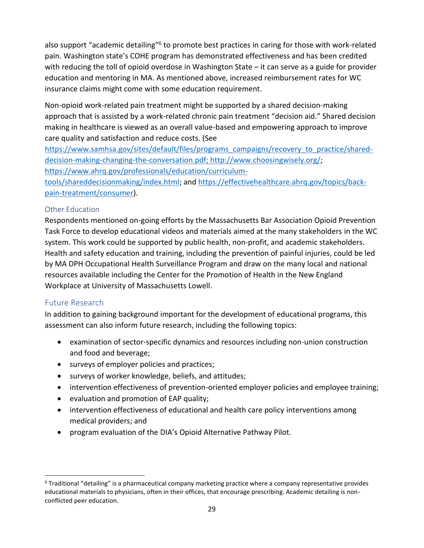<span id="page-31-0"></span>also support "academic detailing"<sup>6</sup> to promote best practices in caring for those with work-related pain. Washington state's COHE program has demonstrated effectiveness and has been credited with reducing the toll of opioid overdose in Washington State – it can serve as a guide for provider education and mentoring in MA. As mentioned above, increased reimbursement rates for WC insurance claims might come with some education requirement.

Non-opioid work-related pain treatment might be supported by a shared decision-making approach that is assisted by a work-related chronic pain treatment "decision aid." Shared decision making in healthcare is viewed as an overall value-based and empowering approach to improve care quality and satisfaction and reduce costs. (See

[https://www.samhsa.gov/sites/default/files/programs\\_campaigns/recovery\\_to\\_practice/shared](https://www.samhsa.gov/sites/default/files/programs_campaigns/recovery_to_practice/shared-decision-making-changing-the-conversation.pdf)decision-making-changing-the-conversation.pdf; [http://www.choosingwisely.org/;](http://www.choosingwisely.org/) [https://www.ahrq.gov/professionals/education/curriculum](https://www.ahrq.gov/professionals/education/curriculum-tools/shareddecisionmaking/index.html)tools/shareddecisionmaking/index.html; and [https://effectivehealthcare.ahrq.gov/topics/back](https://effectivehealthcare.ahrq.gov/topics/back-pain-treatment/consumer)pain-treatment/consumer).

## Other Education

Respondents mentioned on-going efforts by the Massachusetts Bar Association Opioid Prevention Task Force to develop educational videos and materials aimed at the many stakeholders in the WC system. This work could be supported by public health, non-profit, and academic stakeholders. Health and safety education and training, including the prevention of painful injuries, could be led by MA DPH Occupational Health Surveillance Program and draw on the many local and national resources available including the Center for the Promotion of Health in the New England Workplace at University of Massachusetts Lowell.

## Future Research

In addition to gaining background important for the development of educational programs, this assessment can also inform future research, including the following topics:

- examination of sector-specific dynamics and resources including non-union construction and food and beverage;
- surveys of employer policies and practices;
- surveys of worker knowledge, beliefs, and attitudes;
- intervention effectiveness of prevention-oriented employer policies and employee training;
- evaluation and promotion of EAP quality;
- intervention effectiveness of educational and health care policy interventions among medical providers; and
- program evaluation of the DIA's Opioid Alternative Pathway Pilot.

 $\overline{a}$  $6$  Traditional "detailing" is a pharmaceutical company marketing practice where a company representative provides educational materials to physicians, often in their offices, that encourage prescribing. Academic detailing is nonconflicted peer education.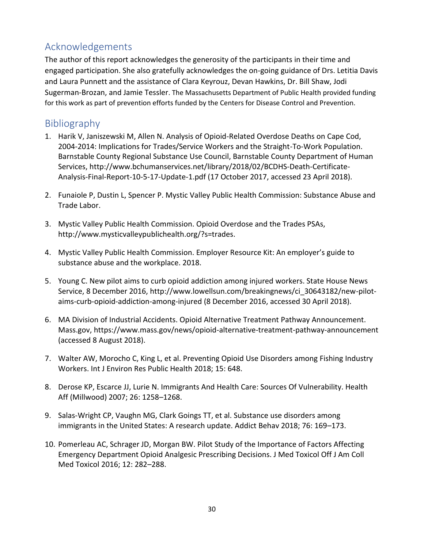# <span id="page-32-0"></span>Acknowledgements

The author of this report acknowledges the generosity of the participants in their time and engaged participation. She also gratefully acknowledges the on-going guidance of Drs. Letitia Davis and Laura Punnett and the assistance of Clara Keyrouz, Devan Hawkins, Dr. Bill Shaw, Jodi Sugerman-Brozan, and Jamie Tessler. The Massachusetts Department of Public Health provided funding for this work as part of prevention efforts funded by the Centers for Disease Control and Prevention.

## Bibliography

- 1. Harik V, Janiszewski M, Allen N. Analysis of Opioid-Related Overdose Deaths on Cape Cod, 2004-2014: Implications for Trades/Service Workers and the Straight-To-Work Population. Barnstable County Regional Substance Use Council, Barnstable County Department of Human Services, http://www.bchumanservices.net/library/2018/02/BCDHS-Death-Certificate-Analysis-Final-Report-10-5-17-Update-1.pdf (17 October 2017, accessed 23 April 2018).
- 2. Funaiole P, Dustin L, Spencer P. Mystic Valley Public Health Commission: Substance Abuse and Trade Labor.
- 3. Mystic Valley Public Health Commission. Opioid Overdose and the Trades PSAs, http://www.mysticvalleypublichealth.org/?s=trades.
- 4. Mystic Valley Public Health Commission. Employer Resource Kit: An employer's guide to substance abuse and the workplace. 2018.
- 5. Young C. New pilot aims to curb opioid addiction among injured workers. State House News Service, 8 December 2016, http://www.lowellsun.com/breakingnews/ci\_30643182/new-pilotaims-curb-opioid-addiction-among-injured (8 December 2016, accessed 30 April 2018).
- 6. MA Division of Industrial Accidents. Opioid Alternative Treatment Pathway Announcement. Mass.gov, https://www.mass.gov/news/opioid-alternative-treatment-pathway-announcement (accessed 8 August 2018).
- 7. Walter AW, Morocho C, King L, et al. Preventing Opioid Use Disorders among Fishing Industry Workers. Int J Environ Res Public Health 2018; 15: 648.
- 8. Derose KP, Escarce JJ, Lurie N. Immigrants And Health Care: Sources Of Vulnerability. Health Aff (Millwood) 2007; 26: 1258–1268.
- 9. Salas-Wright CP, Vaughn MG, Clark Goings TT, et al. Substance use disorders among immigrants in the United States: A research update. Addict Behav 2018; 76: 169–173.
- 10. Pomerleau AC, Schrager JD, Morgan BW. Pilot Study of the Importance of Factors Affecting Emergency Department Opioid Analgesic Prescribing Decisions. J Med Toxicol Off J Am Coll Med Toxicol 2016; 12: 282–288.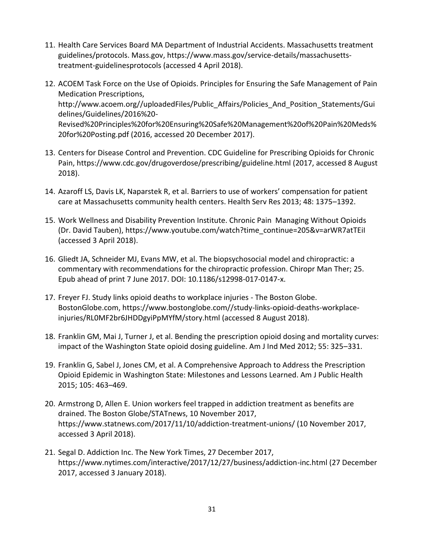- 11. Health Care Services Board MA Department of Industrial Accidents. Massachusetts treatment guidelines/protocols. Mass.gov, https://www.mass.gov/service-details/massachusettstreatment-guidelinesprotocols (accessed 4 April 2018).
- 12. ACOEM Task Force on the Use of Opioids. Principles for Ensuring the Safe Management of Pain Medication Prescriptions, http://www.acoem.org//uploadedFiles/Public\_Affairs/Policies\_And\_Position\_Statements/Gui delines/Guidelines/2016%20- Revised%20Principles%20for%20Ensuring%20Safe%20Management%20of%20Pain%20Meds% 20for%20Posting.pdf (2016, accessed 20 December 2017).
- 13. Centers for Disease Control and Prevention. CDC Guideline for Prescribing Opioids for Chronic Pain, https://www.cdc.gov/drugoverdose/prescribing/guideline.html (2017, accessed 8 August 2018).
- 14. Azaroff LS, Davis LK, Naparstek R, et al. Barriers to use of workers' compensation for patient care at Massachusetts community health centers. Health Serv Res 2013; 48: 1375–1392.
- 15. Work Wellness and Disability Prevention Institute. Chronic Pain Managing Without Opioids (Dr. David Tauben), https://www.youtube.com/watch?time\_continue=205&v=arWR7atTEiI (accessed 3 April 2018).
- 16. Gliedt JA, Schneider MJ, Evans MW, et al. The biopsychosocial model and chiropractic: a commentary with recommendations for the chiropractic profession. Chiropr Man Ther; 25. Epub ahead of print 7 June 2017. DOI: 10.1186/s12998-017-0147-x.
- 17. Freyer FJ. Study links opioid deaths to workplace injuries The Boston Globe. BostonGlobe.com, https://www.bostonglobe.com//study-links-opioid-deaths-workplaceinjuries/RL0MF2br6JHDDgyiPpMYfM/story.html (accessed 8 August 2018).
- 18. Franklin GM, Mai J, Turner J, et al. Bending the prescription opioid dosing and mortality curves: impact of the Washington State opioid dosing guideline. Am J Ind Med 2012; 55: 325–331.
- 19. Franklin G, Sabel J, Jones CM, et al. A Comprehensive Approach to Address the Prescription Opioid Epidemic in Washington State: Milestones and Lessons Learned. Am J Public Health 2015; 105: 463–469.
- 20. Armstrong D, Allen E. Union workers feel trapped in addiction treatment as benefits are drained. The Boston Globe/STATnews, 10 November 2017, https://www.statnews.com/2017/11/10/addiction-treatment-unions/ (10 November 2017, accessed 3 April 2018).
- 21. Segal D. Addiction Inc. The New York Times, 27 December 2017, https://www.nytimes.com/interactive/2017/12/27/business/addiction-inc.html (27 December 2017, accessed 3 January 2018).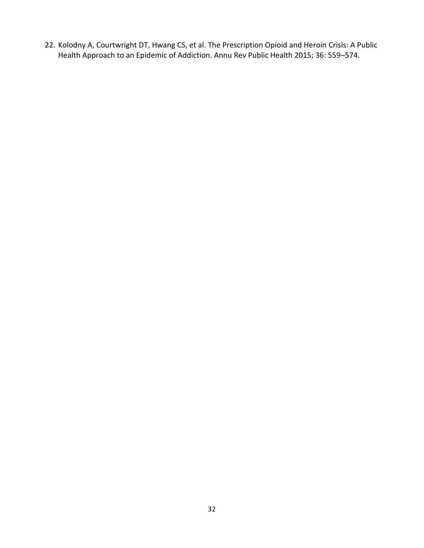22. Kolodny A, Courtwright DT, Hwang CS, et al. The Prescription Opioid and Heroin Crisis: A Public Health Approach to an Epidemic of Addiction. Annu Rev Public Health 2015; 36: 559–574.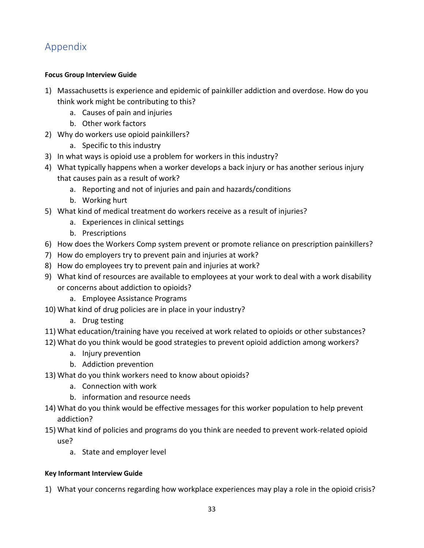# <span id="page-35-0"></span>Appendix

## **Focus Group Interview Guide**

- 1) Massachusetts is experience and epidemic of painkiller addiction and overdose. How do you think work might be contributing to this?
	- a. Causes of pain and injuries
	- b. Other work factors
- 2) Why do workers use opioid painkillers?
	- a. Specific to this industry
- 3) In what ways is opioid use a problem for workers in this industry?
- 4) What typically happens when a worker develops a back injury or has another serious injury that causes pain as a result of work?
	- a. Reporting and not of injuries and pain and hazards/conditions
	- b. Working hurt
- 5) What kind of medical treatment do workers receive as a result of injuries?
	- a. Experiences in clinical settings
	- b. Prescriptions
- 6) How does the Workers Comp system prevent or promote reliance on prescription painkillers?
- 7) How do employers try to prevent pain and injuries at work?
- 8) How do employees try to prevent pain and injuries at work?
- 9) What kind of resources are available to employees at your work to deal with a work disability or concerns about addiction to opioids?
	- a. Employee Assistance Programs
- 10) What kind of drug policies are in place in your industry?
	- a. Drug testing
- 11) What education/training have you received at work related to opioids or other substances?
- 12) What do you think would be good strategies to prevent opioid addiction among workers?
	- a. Injury prevention
	- b. Addiction prevention
- 13) What do you think workers need to know about opioids?
	- a. Connection with work
	- b. information and resource needs
- 14) What do you think would be effective messages for this worker population to help prevent addiction?
- 15) What kind of policies and programs do you think are needed to prevent work-related opioid use?
	- a. State and employer level

## **Key Informant Interview Guide**

1) What your concerns regarding how workplace experiences may play a role in the opioid crisis?